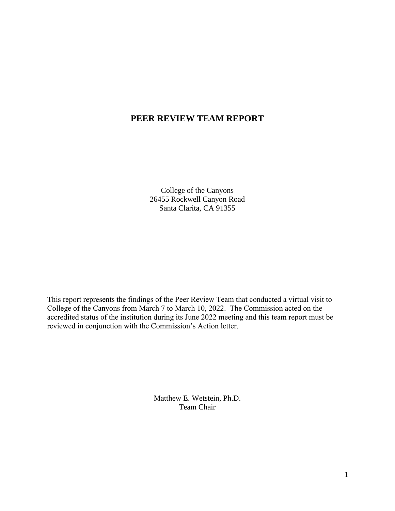# **PEER REVIEW TEAM REPORT**

College of the Canyons 26455 Rockwell Canyon Road Santa Clarita, CA 91355

This report represents the findings of the Peer Review Team that conducted a virtual visit to College of the Canyons from March 7 to March 10, 2022. The Commission acted on the accredited status of the institution during its June 2022 meeting and this team report must be reviewed in conjunction with the Commission's Action letter.

> Matthew E. Wetstein, Ph.D. Team Chair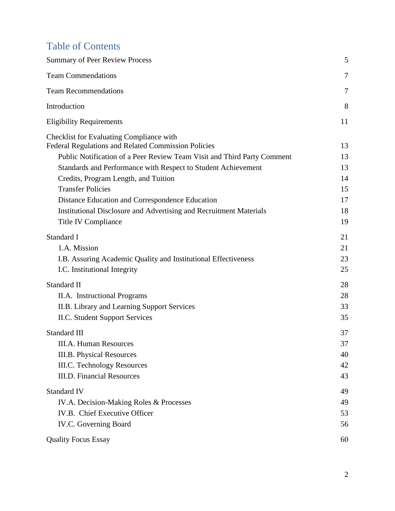# Table of Contents

| <b>Summary of Peer Review Process</b>                                                                                                                                                                                                                                                                                                                                                                                                    | 5                                      |
|------------------------------------------------------------------------------------------------------------------------------------------------------------------------------------------------------------------------------------------------------------------------------------------------------------------------------------------------------------------------------------------------------------------------------------------|----------------------------------------|
| <b>Team Commendations</b>                                                                                                                                                                                                                                                                                                                                                                                                                | 7                                      |
| <b>Team Recommendations</b>                                                                                                                                                                                                                                                                                                                                                                                                              | 7                                      |
| Introduction                                                                                                                                                                                                                                                                                                                                                                                                                             | 8                                      |
| <b>Eligibility Requirements</b>                                                                                                                                                                                                                                                                                                                                                                                                          | 11                                     |
| Checklist for Evaluating Compliance with<br>Federal Regulations and Related Commission Policies<br>Public Notification of a Peer Review Team Visit and Third Party Comment<br>Standards and Performance with Respect to Student Achievement<br>Credits, Program Length, and Tuition<br><b>Transfer Policies</b><br>Distance Education and Correspondence Education<br>Institutional Disclosure and Advertising and Recruitment Materials | 13<br>13<br>13<br>14<br>15<br>17<br>18 |
| Title IV Compliance                                                                                                                                                                                                                                                                                                                                                                                                                      | 19                                     |
| Standard I<br>1.A. Mission<br>I.B. Assuring Academic Quality and Institutional Effectiveness<br>I.C. Institutional Integrity                                                                                                                                                                                                                                                                                                             | 21<br>21<br>23<br>25                   |
| Standard II<br>II.A. Instructional Programs<br>II.B. Library and Learning Support Services<br><b>II.C. Student Support Services</b>                                                                                                                                                                                                                                                                                                      | 28<br>28<br>33<br>35                   |
| Standard III<br><b>III.A. Human Resources</b><br><b>III.B. Physical Resources</b><br><b>III.C. Technology Resources</b><br><b>III.D.</b> Financial Resources                                                                                                                                                                                                                                                                             | 37<br>37<br>40<br>42<br>43             |
| <b>Standard IV</b><br>IV.A. Decision-Making Roles & Processes<br>IV.B. Chief Executive Officer<br>IV.C. Governing Board<br><b>Quality Focus Essay</b>                                                                                                                                                                                                                                                                                    | 49<br>49<br>53<br>56<br>60             |
|                                                                                                                                                                                                                                                                                                                                                                                                                                          |                                        |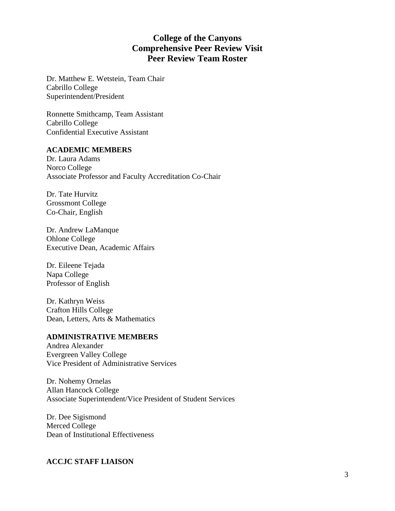# **College of the Canyons Comprehensive Peer Review Visit Peer Review Team Roster**

Dr. Matthew E. Wetstein, Team Chair Cabrillo College Superintendent/President

Ronnette Smithcamp, Team Assistant Cabrillo College Confidential Executive Assistant

## **ACADEMIC MEMBERS**

Dr. Laura Adams Norco College Associate Professor and Faculty Accreditation Co-Chair

Dr. Tate Hurvitz Grossmont College Co-Chair, English

Dr. Andrew LaManque Ohlone College Executive Dean, Academic Affairs

Dr. Eileene Tejada Napa College Professor of English

Dr. Kathryn Weiss Crafton Hills College Dean, Letters, Arts & Mathematics

#### **ADMINISTRATIVE MEMBERS**

Andrea Alexander Evergreen Valley College Vice President of Administrative Services

Dr. Nohemy Ornelas Allan Hancock College Associate Superintendent/Vice President of Student Services

Dr. Dee Sigismond Merced College Dean of Institutional Effectiveness

#### **ACCJC STAFF LIAISON**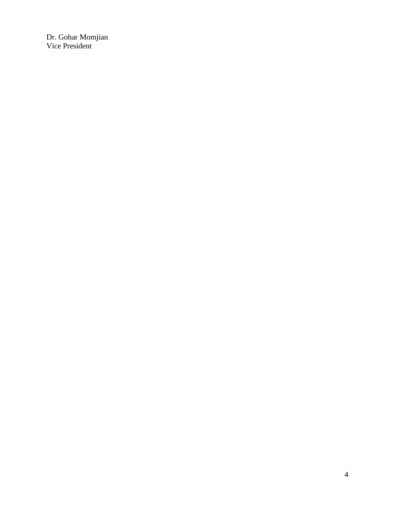Dr. Gohar Momjian Vice President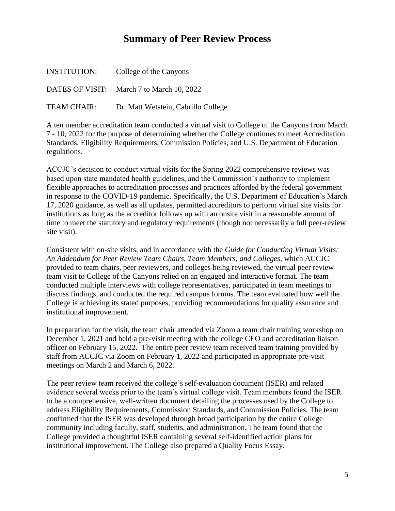# **Summary of Peer Review Process**

<span id="page-4-0"></span>

| <b>INSTITUTION:</b> | College of the Canyons                    |
|---------------------|-------------------------------------------|
|                     | DATES OF VISIT: March 7 to March 10, 2022 |
| TEAM CHAIR:         | Dr. Matt Wetstein, Cabrillo College       |

A ten member accreditation team conducted a virtual visit to College of the Canyons from March 7 - 10, 2022 for the purpose of determining whether the College continues to meet Accreditation Standards, Eligibility Requirements, Commission Policies, and U.S. Department of Education regulations.

ACCJC's decision to conduct virtual visits for the Spring 2022 comprehensive reviews was based upon state mandated health guidelines, and the Commission's authority to implement flexible approaches to accreditation processes and practices afforded by the federal government in response to the COVID-19 pandemic. Specifically, the U.S. Department of Education's March 17, 2020 guidance, as well as all updates, permitted accreditors to perform virtual site visits for institutions as long as the accreditor follows up with an onsite visit in a reasonable amount of time to meet the statutory and regulatory requirements (though not necessarily a full peer-review site visit).

 Consistent with on-site visits, and in accordance with the *Guide for Conducting Virtual Visits: An Addendum for Peer Review Team Chairs, Team Members, and Colleges,* which ACCJC provided to team chairs, peer reviewers, and colleges being reviewed, the virtual peer review team visit to College of the Canyons relied on an engaged and interactive format. The team conducted multiple interviews with college representatives, participated in team meetings to discuss findings, and conducted the required campus forums. The team evaluated how well the College is achieving its stated purposes, providing recommendations for quality assurance and institutional improvement.

In preparation for the visit, the team chair attended via Zoom a team chair training workshop on December 1, 2021 and held a pre-visit meeting with the college CEO and accreditation liaison officer on February 15, 2022. The entire peer review team received team training provided by staff from ACCJC via Zoom on February 1, 2022 and participated in appropriate pre-visit meetings on March 2 and March 6, 2022.

The peer review team received the college's self-evaluation document (ISER) and related evidence several weeks prior to the team's virtual college visit. Team members found the ISER to be a comprehensive, well-written document detailing the processes used by the College to address Eligibility Requirements, Commission Standards, and Commission Policies. The team confirmed that the ISER was developed through broad participation by the entire College community including faculty, staff, students, and administration. The team found that the College provided a thoughtful ISER containing several self-identified action plans for institutional improvement. The College also prepared a Quality Focus Essay.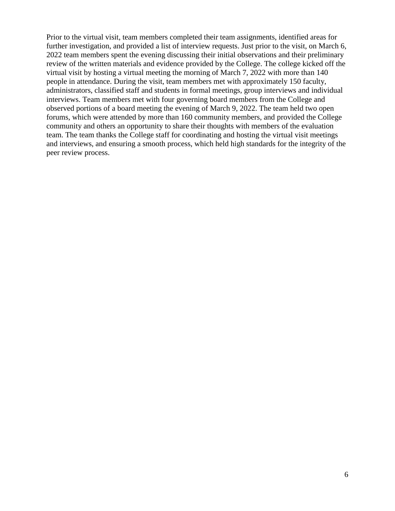Prior to the virtual visit, team members completed their team assignments, identified areas for further investigation, and provided a list of interview requests. Just prior to the visit, on March 6, 2022 team members spent the evening discussing their initial observations and their preliminary review of the written materials and evidence provided by the College. The college kicked off the virtual visit by hosting a virtual meeting the morning of March 7, 2022 with more than 140 people in attendance. During the visit, team members met with approximately 150 faculty, administrators, classified staff and students in formal meetings, group interviews and individual interviews. Team members met with four governing board members from the College and observed portions of a board meeting the evening of March 9, 2022. The team held two open forums, which were attended by more than 160 community members, and provided the College community and others an opportunity to share their thoughts with members of the evaluation team. The team thanks the College staff for coordinating and hosting the virtual visit meetings and interviews, and ensuring a smooth process, which held high standards for the integrity of the peer review process.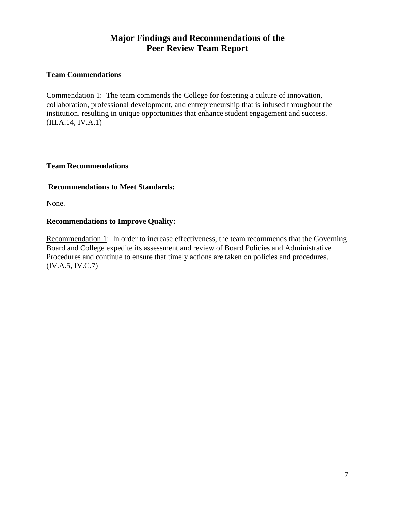# **Major Findings and Recommendations of the Peer Review Team Report**

## <span id="page-6-0"></span>**Team Commendations**

Commendation 1: The team commends the College for fostering a culture of innovation, collaboration, professional development, and entrepreneurship that is infused throughout the institution, resulting in unique opportunities that enhance student engagement and success. [\(III.A.14](https://III.A.14), IV.A.1)

#### <span id="page-6-1"></span>**Team Recommendations**

## **Recommendations to Meet Standards:**

None.

## **Recommendations to Improve Quality:**

Recommendation 1: In order to increase effectiveness, the team recommends that the Governing Board and College expedite its assessment and review of Board Policies and Administrative Procedures and continue to ensure that timely actions are taken on policies and procedures. (IV.A.5, IV.C.7)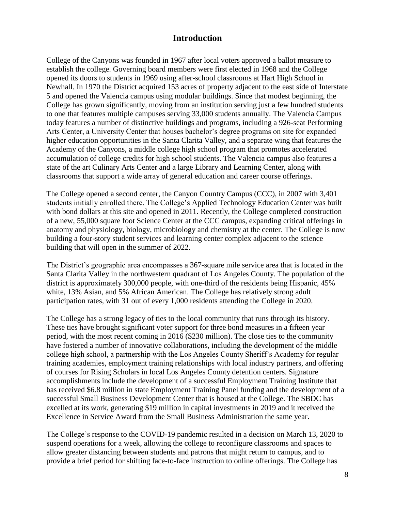## **Introduction**

<span id="page-7-0"></span>College of the Canyons was founded in 1967 after local voters approved a ballot measure to establish the college. Governing board members were first elected in 1968 and the College opened its doors to students in 1969 using after-school classrooms at Hart High School in Newhall. In 1970 the District acquired 153 acres of property adjacent to the east side of Interstate 5 and opened the Valencia campus using modular buildings. Since that modest beginning, the College has grown significantly, moving from an institution serving just a few hundred students to one that features multiple campuses serving 33,000 students annually. The Valencia Campus today features a number of distinctive buildings and programs, including a 926-seat Performing Arts Center, a University Center that houses bachelor's degree programs on site for expanded higher education opportunities in the Santa Clarita Valley, and a separate wing that features the Academy of the Canyons, a middle college high school program that promotes accelerated accumulation of college credits for high school students. The Valencia campus also features a state of the art Culinary Arts Center and a large Library and Learning Center, along with classrooms that support a wide array of general education and career course offerings.

 building a four-story student services and learning center complex adjacent to the science The College opened a second center, the Canyon Country Campus (CCC), in 2007 with 3,401 students initially enrolled there. The College's Applied Technology Education Center was built with bond dollars at this site and opened in 2011. Recently, the College completed construction of a new, 55,000 square foot Science Center at the CCC campus, expanding critical offerings in anatomy and physiology, biology, microbiology and chemistry at the center. The College is now building that will open in the summer of 2022.

The District's geographic area encompasses a 367-square mile service area that is located in the Santa Clarita Valley in the northwestern quadrant of Los Angeles County. The population of the district is approximately 300,000 people, with one-third of the residents being Hispanic, 45% white, 13% Asian, and 5% African American. The College has relatively strong adult participation rates, with 31 out of every 1,000 residents attending the College in 2020.

The College has a strong legacy of ties to the local community that runs through its history. These ties have brought significant voter support for three bond measures in a fifteen year period, with the most recent coming in 2016 (\$230 million). The close ties to the community have fostered a number of innovative collaborations, including the development of the middle college high school, a partnership with the Los Angeles County Sheriff's Academy for regular training academies, employment training relationships with local industry partners, and offering of courses for Rising Scholars in local Los Angeles County detention centers. Signature accomplishments include the development of a successful Employment Training Institute that has received \$6.8 million in state Employment Training Panel funding and the development of a successful Small Business Development Center that is housed at the College. The SBDC has excelled at its work, generating \$19 million in capital investments in 2019 and it received the Excellence in Service Award from the Small Business Administration the same year.

 suspend operations for a week, allowing the college to reconfigure classrooms and spaces to The College's response to the COVID-19 pandemic resulted in a decision on March 13, 2020 to allow greater distancing between students and patrons that might return to campus, and to provide a brief period for shifting face-to-face instruction to online offerings. The College has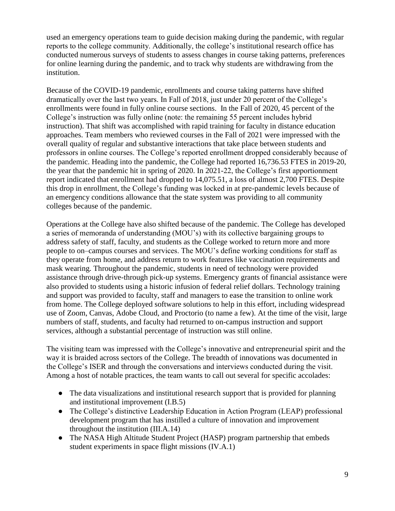used an emergency operations team to guide decision making during the pandemic, with regular reports to the college community. Additionally, the college's institutional research office has conducted numerous surveys of students to assess changes in course taking patterns, preferences for online learning during the pandemic, and to track why students are withdrawing from the institution.

Because of the COVID-19 pandemic, enrollments and course taking patterns have shifted dramatically over the last two years. In Fall of 2018, just under 20 percent of the College's enrollments were found in fully online course sections. In the Fall of 2020, 45 percent of the College's instruction was fully online (note: the remaining 55 percent includes hybrid instruction). That shift was accomplished with rapid training for faculty in distance education approaches. Team members who reviewed courses in the Fall of 2021 were impressed with the overall quality of regular and substantive interactions that take place between students and professors in online courses. The College's reported enrollment dropped considerably because of the pandemic. Heading into the pandemic, the College had reported [16,736.53](https://16,736.53) FTES in 2019-20, the year that the pandemic hit in spring of 2020. In 2021-22, the College's first apportionment report indicated that enrollment had dropped to [14,075.51,](https://14,075.51) a loss of almost 2,700 FTES. Despite this drop in enrollment, the College's funding was locked in at pre-pandemic levels because of an emergency conditions allowance that the state system was providing to all community colleges because of the pandemic.

Operations at the College have also shifted because of the pandemic. The College has developed a series of memoranda of understanding (MOU's) with its collective bargaining groups to address safety of staff, faculty, and students as the College worked to return more and more people to on–campus courses and services. The MOU's define working conditions for staff as they operate from home, and address return to work features like vaccination requirements and mask wearing. Throughout the pandemic, students in need of technology were provided assistance through drive-through pick-up systems. Emergency grants of financial assistance were also provided to students using a historic infusion of federal relief dollars. Technology training and support was provided to faculty, staff and managers to ease the transition to online work from home. The College deployed software solutions to help in this effort, including widespread use of Zoom, Canvas, Adobe Cloud, and Proctorio (to name a few). At the time of the visit, large numbers of staff, students, and faculty had returned to on-campus instruction and support services, although a substantial percentage of instruction was still online.

The visiting team was impressed with the College's innovative and entrepreneurial spirit and the way it is braided across sectors of the College. The breadth of innovations was documented in the College's ISER and through the conversations and interviews conducted during the visit. Among a host of notable practices, the team wants to call out several for specific accolades:

- The data visualizations and institutional research support that is provided for planning and institutional improvement (I.B.5)
- The College's distinctive Leadership Education in Action Program (LEAP) professional development program that has instilled a culture of innovation and improvement throughout the institution [\(III.A.14\)](https://III.A.14)
- The NASA High Altitude Student Project (HASP) program partnership that embeds student experiments in space flight missions (IV.A.1)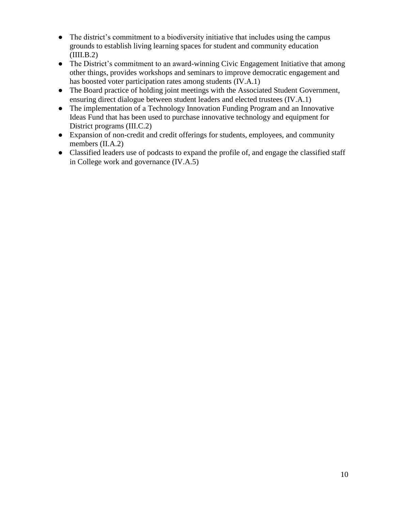- The district's commitment to a biodiversity initiative that includes using the campus grounds to establish living learning spaces for student and community education  $(III.B.2)$
- The District's commitment to an award-winning Civic Engagement Initiative that among other things, provides workshops and seminars to improve democratic engagement and has boosted voter participation rates among students (IV.A.1)
- The Board practice of holding joint meetings with the Associated Student Government, ensuring direct dialogue between student leaders and elected trustees (IV.A.1)
- ● The implementation of a Technology Innovation Funding Program and an Innovative Ideas Fund that has been used to purchase innovative technology and equipment for District programs (III.C.2)
- Expansion of non-credit and credit offerings for students, employees, and community members (II.A.2)
- Classified leaders use of podcasts to expand the profile of, and engage the classified staff in College work and governance (IV.A.5)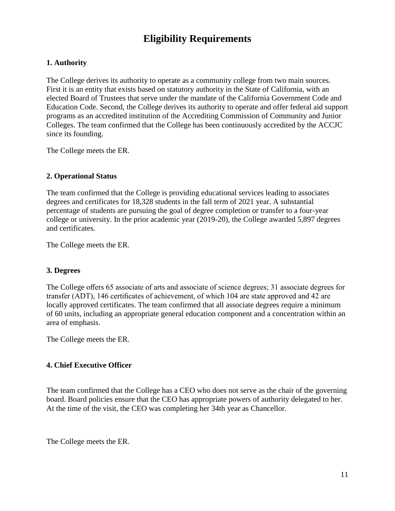# **Eligibility Requirements**

## <span id="page-10-0"></span>**1. Authority**

The College derives its authority to operate as a community college from two main sources. First it is an entity that exists based on statutory authority in the State of California, with an elected Board of Trustees that serve under the mandate of the California Government Code and Education Code. Second, the College derives its authority to operate and offer federal aid support programs as an accredited institution of the Accrediting Commission of Community and Junior Colleges. The team confirmed that the College has been continuously accredited by the ACCJC since its founding.

The College meets the ER.

#### **2. Operational Status**

The team confirmed that the College is providing educational services leading to associates degrees and certificates for 18,328 students in the fall term of 2021 year. A substantial percentage of students are pursuing the goal of degree completion or transfer to a four-year college or university. In the prior academic year (2019-20), the College awarded 5,897 degrees and certificates.

The College meets the ER.

#### **3. Degrees**

The College offers 65 associate of arts and associate of science degrees; 31 associate degrees for transfer (ADT), 146 certificates of achievement, of which 104 are state approved and 42 are locally approved certificates. The team confirmed that all associate degrees require a minimum of 60 units, including an appropriate general education component and a concentration within an area of emphasis.

The College meets the ER.

## **4. Chief Executive Officer**

The team confirmed that the College has a CEO who does not serve as the chair of the governing board. Board policies ensure that the CEO has appropriate powers of authority delegated to her. At the time of the visit, the CEO was completing her 34th year as Chancellor.

The College meets the ER.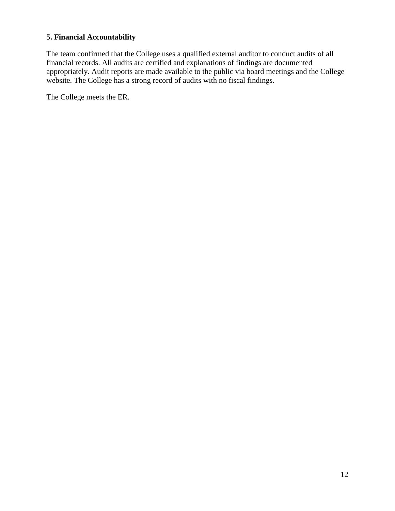## **5. Financial Accountability**

 website. The College has a strong record of audits with no fiscal findings. The team confirmed that the College uses a qualified external auditor to conduct audits of all financial records. All audits are certified and explanations of findings are documented appropriately. Audit reports are made available to the public via board meetings and the College

The College meets the ER.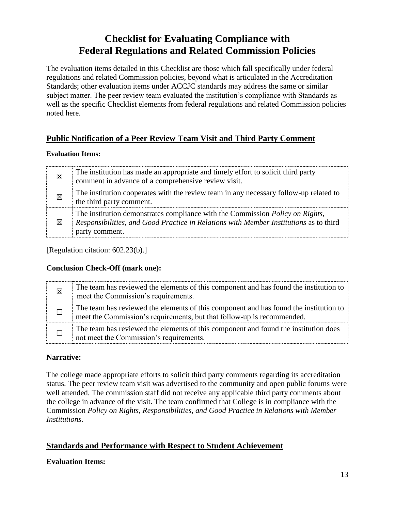# **Checklist for Evaluating Compliance with Federal Regulations and Related Commission Policies**

<span id="page-12-0"></span> Standards; other evaluation items under ACCJC standards may address the same or similar The evaluation items detailed in this Checklist are those which fall specifically under federal regulations and related Commission policies, beyond what is articulated in the Accreditation subject matter. The peer review team evaluated the institution's compliance with Standards as well as the specific Checklist elements from federal regulations and related Commission policies noted here.

# <span id="page-12-1"></span>**Public Notification of a Peer Review Team Visit and Third Party Comment**

#### **Evaluation Items:**

| 区 | The institution has made an appropriate and timely effort to solicit third party<br>comment in advance of a comprehensive review visit.                                                  |
|---|------------------------------------------------------------------------------------------------------------------------------------------------------------------------------------------|
| 区 | The institution cooperates with the review team in any necessary follow-up related to<br>the third party comment.                                                                        |
| ⊠ | The institution demonstrates compliance with the Commission Policy on Rights,<br>Responsibilities, and Good Practice in Relations with Member Institutions as to third<br>party comment. |

[Regulation citation: 602.23(b).]

## **Conclusion Check-Off (mark one):**

| 区 | The team has reviewed the elements of this component and has found the institution to<br>meet the Commission's requirements.                                    |
|---|-----------------------------------------------------------------------------------------------------------------------------------------------------------------|
|   | The team has reviewed the elements of this component and has found the institution to<br>meet the Commission's requirements, but that follow-up is recommended. |
|   | The team has reviewed the elements of this component and found the institution does<br>not meet the Commission's requirements.                                  |

## **Narrative:**

The college made appropriate efforts to solicit third party comments regarding its accreditation status. The peer review team visit was advertised to the community and open public forums were well attended. The commission staff did not receive any applicable third party comments about the college in advance of the visit. The team confirmed that College is in compliance with the Commission *Policy on Rights, Responsibilities, and Good Practice in Relations with Member Institutions*.

# <span id="page-12-2"></span>**Standards and Performance with Respect to Student Achievement**

## **Evaluation Items:**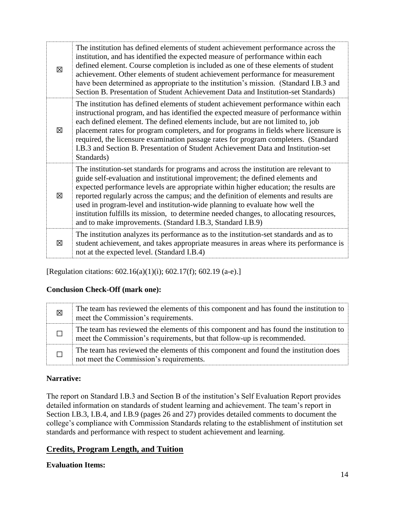| 図 | The institution has defined elements of student achievement performance across the<br>institution, and has identified the expected measure of performance within each<br>defined element. Course completion is included as one of these elements of student<br>achievement. Other elements of student achievement performance for measurement<br>have been determined as appropriate to the institution's mission. (Standard I.B.3 and<br>Section B. Presentation of Student Achievement Data and Institution-set Standards)                                                                    |
|---|-------------------------------------------------------------------------------------------------------------------------------------------------------------------------------------------------------------------------------------------------------------------------------------------------------------------------------------------------------------------------------------------------------------------------------------------------------------------------------------------------------------------------------------------------------------------------------------------------|
| X | The institution has defined elements of student achievement performance within each<br>instructional program, and has identified the expected measure of performance within<br>each defined element. The defined elements include, but are not limited to, job<br>placement rates for program completers, and for programs in fields where licensure is<br>required, the licensure examination passage rates for program completers. (Standard<br>I.B.3 and Section B. Presentation of Student Achievement Data and Institution-set<br>Standards)                                               |
| 冈 | The institution-set standards for programs and across the institution are relevant to<br>guide self-evaluation and institutional improvement; the defined elements and<br>expected performance levels are appropriate within higher education; the results are<br>reported regularly across the campus; and the definition of elements and results are<br>used in program-level and institution-wide planning to evaluate how well the<br>institution fulfills its mission, to determine needed changes, to allocating resources,<br>and to make improvements. (Standard I.B.3, Standard I.B.9) |
| 図 | The institution analyzes its performance as to the institution-set standards and as to<br>student achievement, and takes appropriate measures in areas where its performance is<br>not at the expected level. (Standard I.B.4)                                                                                                                                                                                                                                                                                                                                                                  |

[Regulation citations: 602.16(a)(1)(i); 602.17(f); 602.19 (a-e).]

## **Conclusion Check-Off (mark one):**

| 図 | The team has reviewed the elements of this component and has found the institution to<br>meet the Commission's requirements.                                    |
|---|-----------------------------------------------------------------------------------------------------------------------------------------------------------------|
|   | The team has reviewed the elements of this component and has found the institution to<br>meet the Commission's requirements, but that follow-up is recommended. |
|   | The team has reviewed the elements of this component and found the institution does<br>not meet the Commission's requirements.                                  |

## **Narrative:**

The report on Standard I.B.3 and Section B of the institution's Self Evaluation Report provides detailed information on standards of student learning and achievement. The team's report in Section I.B.3, I.B.4, and I.B.9 (pages 26 and 27) provides detailed comments to document the college's compliance with Commission Standards relating to the establishment of institution set standards and performance with respect to student achievement and learning.

## <span id="page-13-0"></span>**Credits, Program Length, and Tuition**

**Evaluation Items:**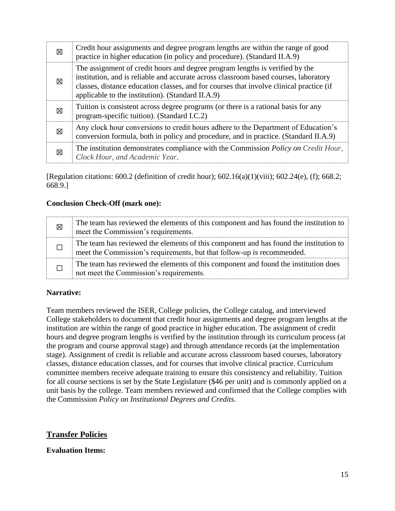| ⊠ | Credit hour assignments and degree program lengths are within the range of good<br>practice in higher education (in policy and procedure). (Standard II.A.9)                                                                                                                                                         |
|---|----------------------------------------------------------------------------------------------------------------------------------------------------------------------------------------------------------------------------------------------------------------------------------------------------------------------|
| 図 | The assignment of credit hours and degree program lengths is verified by the<br>institution, and is reliable and accurate across classroom based courses, laboratory<br>classes, distance education classes, and for courses that involve clinical practice (if<br>applicable to the institution). (Standard II.A.9) |
| 図 | Tuition is consistent across degree programs (or there is a rational basis for any<br>program-specific tuition). (Standard I.C.2)                                                                                                                                                                                    |
| ⊠ | Any clock hour conversions to credit hours adhere to the Department of Education's<br>conversion formula, both in policy and procedure, and in practice. (Standard II.A.9)                                                                                                                                           |
| ⊠ | The institution demonstrates compliance with the Commission Policy on Credit Hour,<br>Clock Hour, and Academic Year.                                                                                                                                                                                                 |

[Regulation citations: 600.2 (definition of credit hour); 602.16(a)(1)(viii); 602.24(e), (f); 668.2; 668.9.]

## **Conclusion Check-Off (mark one):**

| 区 | The team has reviewed the elements of this component and has found the institution to<br>meet the Commission's requirements.                                    |
|---|-----------------------------------------------------------------------------------------------------------------------------------------------------------------|
|   | The team has reviewed the elements of this component and has found the institution to<br>meet the Commission's requirements, but that follow-up is recommended. |
|   | The team has reviewed the elements of this component and found the institution does<br>not meet the Commission's requirements.                                  |

## **Narrative:**

 for all course sections is set by the State Legislature (\$46 per unit) and is commonly applied on a Team members reviewed the ISER, College policies, the College catalog, and interviewed College stakeholders to document that credit hour assignments and degree program lengths at the institution are within the range of good practice in higher education. The assignment of credit hours and degree program lengths is verified by the institution through its curriculum process (at the program and course approval stage) and through attendance records (at the implementation stage). Assignment of credit is reliable and accurate across classroom based courses, laboratory classes, distance education classes, and for courses that involve clinical practice. Curriculum committee members receive adequate training to ensure this consistency and reliability. Tuition unit basis by the college. Team members reviewed and confirmed that the College complies with the Commission *Policy on Institutional Degrees and Credits*.

## <span id="page-14-0"></span>**Transfer Policies**

## **Evaluation Items:**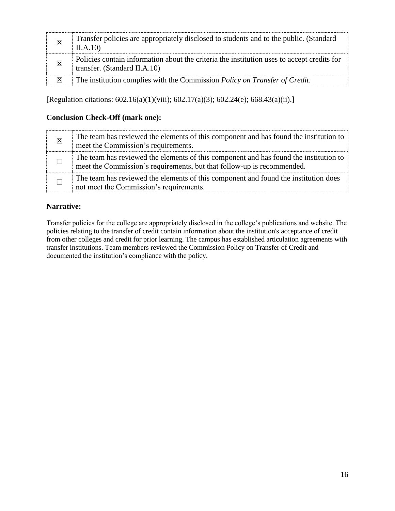| 図 | Transfer policies are appropriately disclosed to students and to the public. (Standard<br>II.A.10                          |
|---|----------------------------------------------------------------------------------------------------------------------------|
| 図 | Policies contain information about the criteria the institution uses to accept credits for<br>transfer. (Standard II.A.10) |
| 図 | The institution complies with the Commission Policy on Transfer of Credit.                                                 |

[Regulation citations: 602.16(a)(1)(viii); 602.17(a)(3); 602.24(e); 668.43(a)(ii).]

## **Conclusion Check-Off (mark one):**

| 区 | The team has reviewed the elements of this component and has found the institution to<br>meet the Commission's requirements.                                    |
|---|-----------------------------------------------------------------------------------------------------------------------------------------------------------------|
|   | The team has reviewed the elements of this component and has found the institution to<br>meet the Commission's requirements, but that follow-up is recommended. |
|   | The team has reviewed the elements of this component and found the institution does<br>not meet the Commission's requirements.                                  |

## **Narrative:**

 from other colleges and credit for prior learning. The campus has established articulation agreements with Transfer policies for the college are appropriately disclosed in the college's publications and website. The policies relating to the transfer of credit contain information about the institution's acceptance of credit transfer institutions. Team members reviewed the Commission Policy on Transfer of Credit and documented the institution's compliance with the policy.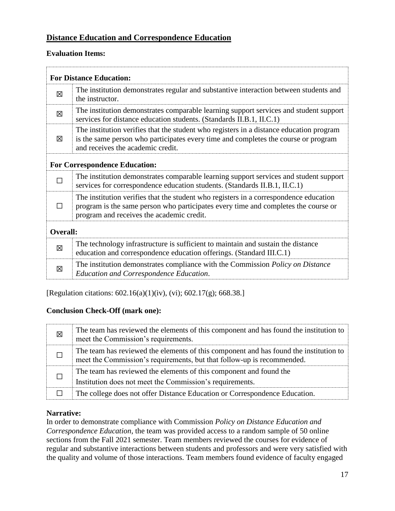# <span id="page-16-0"></span>**Distance Education and Correspondence Education**

## **Evaluation Items:**

|                                      | <b>For Distance Education:</b>                                                                                                                                                                                           |  |
|--------------------------------------|--------------------------------------------------------------------------------------------------------------------------------------------------------------------------------------------------------------------------|--|
| 冈                                    | The institution demonstrates regular and substantive interaction between students and<br>the instructor.                                                                                                                 |  |
| 冈                                    | The institution demonstrates comparable learning support services and student support<br>services for distance education students. (Standards II.B.1, II.C.1)                                                            |  |
| 図                                    | The institution verifies that the student who registers in a distance education program<br>is the same person who participates every time and completes the course or program<br>and receives the academic credit.       |  |
| <b>For Correspondence Education:</b> |                                                                                                                                                                                                                          |  |
|                                      | The institution demonstrates comparable learning support services and student support<br>services for correspondence education students. (Standards II.B.1, II.C.1)                                                      |  |
|                                      | The institution verifies that the student who registers in a correspondence education<br>program is the same person who participates every time and completes the course or<br>program and receives the academic credit. |  |
| <b>Overall:</b>                      |                                                                                                                                                                                                                          |  |
| 冈                                    | The technology infrastructure is sufficient to maintain and sustain the distance<br>education and correspondence education offerings. (Standard III.C.1)                                                                 |  |
| 図                                    | The institution demonstrates compliance with the Commission <i>Policy on Distance</i><br><b>Education and Correspondence Education.</b>                                                                                  |  |

[Regulation citations: 602.16(a)(1)(iv), (vi); 602.17(g); 668.38.]

## **Conclusion Check-Off (mark one):**

| ⊠ | The team has reviewed the elements of this component and has found the institution to<br>meet the Commission's requirements.                                    |
|---|-----------------------------------------------------------------------------------------------------------------------------------------------------------------|
|   | The team has reviewed the elements of this component and has found the institution to<br>meet the Commission's requirements, but that follow-up is recommended. |
|   | The team has reviewed the elements of this component and found the<br>Institution does not meet the Commission's requirements.                                  |
|   | The college does not offer Distance Education or Correspondence Education.                                                                                      |

## **Narrative:**

In order to demonstrate compliance with Commission *Policy on Distance Education and Correspondence Education*, the team was provided access to a random sample of 50 online sections from the Fall 2021 semester. Team members reviewed the courses for evidence of regular and substantive interactions between students and professors and were very satisfied with the quality and volume of those interactions. Team members found evidence of faculty engaged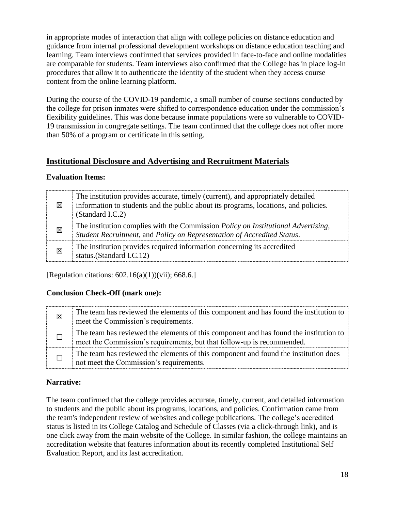in appropriate modes of interaction that align with college policies on distance education and guidance from internal professional development workshops on distance education teaching and learning. Team interviews confirmed that services provided in face-to-face and online modalities are comparable for students. Team interviews also confirmed that the College has in place log-in procedures that allow it to authenticate the identity of the student when they access course content from the online learning platform.

During the course of the COVID-19 pandemic, a small number of course sections conducted by the college for prison inmates were shifted to correspondence education under the commission's flexibility guidelines. This was done because inmate populations were so vulnerable to COVID-19 transmission in congregate settings. The team confirmed that the college does not offer more than 50% of a program or certificate in this setting.

## <span id="page-17-0"></span>**Institutional Disclosure and Advertising and Recruitment Materials**

## **Evaluation Items:**

| ⊠ | The institution provides accurate, timely (current), and appropriately detailed<br>information to students and the public about its programs, locations, and policies.<br>(Standard I.C.2) |
|---|--------------------------------------------------------------------------------------------------------------------------------------------------------------------------------------------|
| 冈 | The institution complies with the Commission Policy on Institutional Advertising,<br>Student Recruitment, and Policy on Representation of Accredited Status.                               |
| 図 | The institution provides required information concerning its accredited<br>status.(Standard I.C.12)                                                                                        |

[Regulation citations:  $602.16(a)(1))$ (vii); 668.6.]

## **Conclusion Check-Off (mark one):**

| 区 | The team has reviewed the elements of this component and has found the institution to<br>meet the Commission's requirements.                                    |
|---|-----------------------------------------------------------------------------------------------------------------------------------------------------------------|
|   | The team has reviewed the elements of this component and has found the institution to<br>meet the Commission's requirements, but that follow-up is recommended. |
|   | The team has reviewed the elements of this component and found the institution does<br>not meet the Commission's requirements.                                  |

## **Narrative:**

The team confirmed that the college provides accurate, timely, current, and detailed information to students and the public about its programs, locations, and policies. Confirmation came from the team's independent review of websites and college publications. The college's accredited status is listed in its College Catalog and Schedule of Classes (via a click-through link), and is one click away from the main website of the College. In similar fashion, the college maintains an accreditation website that features information about its recently completed Institutional Self Evaluation Report, and its last accreditation.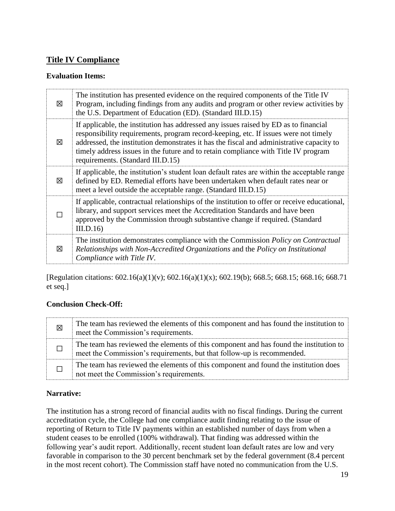# <span id="page-18-0"></span>**Title IV Compliance**

## **Evaluation Items:**

| ⊠ | The institution has presented evidence on the required components of the Title IV<br>Program, including findings from any audits and program or other review activities by<br>the U.S. Department of Education (ED). (Standard III.D.15)                                                                                                                                                           |
|---|----------------------------------------------------------------------------------------------------------------------------------------------------------------------------------------------------------------------------------------------------------------------------------------------------------------------------------------------------------------------------------------------------|
| 冈 | If applicable, the institution has addressed any issues raised by ED as to financial<br>responsibility requirements, program record-keeping, etc. If issues were not timely<br>addressed, the institution demonstrates it has the fiscal and administrative capacity to<br>timely address issues in the future and to retain compliance with Title IV program<br>requirements. (Standard III.D.15) |
| ⊠ | If applicable, the institution's student loan default rates are within the acceptable range<br>defined by ED. Remedial efforts have been undertaken when default rates near or<br>meet a level outside the acceptable range. (Standard III.D.15)                                                                                                                                                   |
|   | If applicable, contractual relationships of the institution to offer or receive educational,<br>library, and support services meet the Accreditation Standards and have been<br>approved by the Commission through substantive change if required. (Standard<br>III.D.16                                                                                                                           |
| ⊠ | The institution demonstrates compliance with the Commission Policy on Contractual<br>Relationships with Non-Accredited Organizations and the Policy on Institutional<br>Compliance with Title IV.                                                                                                                                                                                                  |

[Regulation citations: 602.16(a)(1)(v); 602.16(a)(1)(x); 602.19(b); 668.5; 668.15; 668.16; 668.71 et seq.]

## **Conclusion Check-Off:**

| 図 | The team has reviewed the elements of this component and has found the institution to<br>meet the Commission's requirements.                                    |
|---|-----------------------------------------------------------------------------------------------------------------------------------------------------------------|
|   | The team has reviewed the elements of this component and has found the institution to<br>meet the Commission's requirements, but that follow-up is recommended. |
|   | The team has reviewed the elements of this component and found the institution does<br>not meet the Commission's requirements.                                  |

## **Narrative:**

The institution has a strong record of financial audits with no fiscal findings. During the current accreditation cycle, the College had one compliance audit finding relating to the issue of reporting of Return to Title IV payments within an established number of days from when a student ceases to be enrolled (100% withdrawal). That finding was addressed within the following year's audit report. Additionally, recent student loan default rates are low and very favorable in comparison to the 30 percent benchmark set by the federal government (8.4 percent in the most recent cohort). The Commission staff have noted no communication from the U.S.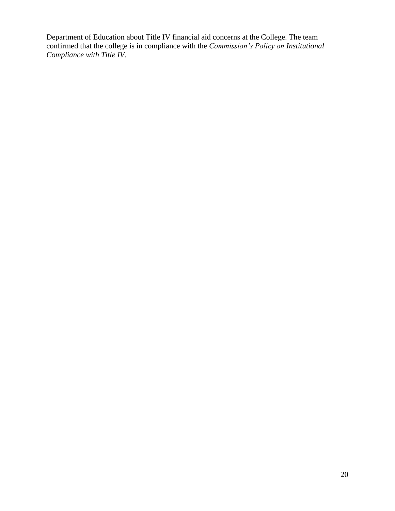Department of Education about Title IV financial aid concerns at the College. The team confirmed that the college is in compliance with the *Commission's Policy on Institutional Compliance with Title IV*.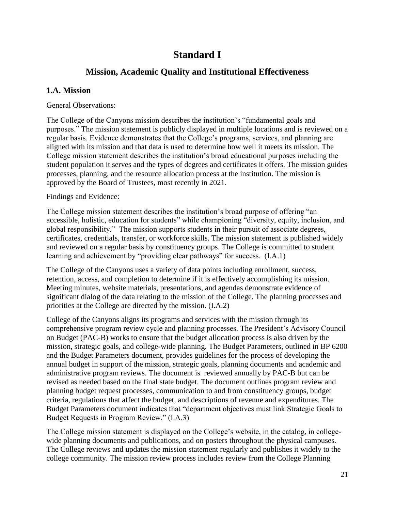# **Standard I**

# **Mission, Academic Quality and Institutional Effectiveness**

## <span id="page-20-1"></span><span id="page-20-0"></span>**1.A. Mission**

#### General Observations:

 regular basis. Evidence demonstrates that the College's programs, services, and planning are The College of the Canyons mission describes the institution's "fundamental goals and purposes." The mission statement is publicly displayed in multiple locations and is reviewed on a aligned with its mission and that data is used to determine how well it meets its mission. The College mission statement describes the institution's broad educational purposes including the student population it serves and the types of degrees and certificates it offers. The mission guides processes, planning, and the resource allocation process at the institution. The mission is approved by the Board of Trustees, most recently in 2021.

#### Findings and Evidence:

The College mission statement describes the institution's broad purpose of offering "an accessible, holistic, education for students" while championing "diversity, equity, inclusion, and global responsibility." The mission supports students in their pursuit of associate degrees, certificates, credentials, transfer, or workforce skills. The mission statement is published widely and reviewed on a regular basis by constituency groups. The College is committed to student learning and achievement by "providing clear pathways" for success. (I.A.1)

The College of the Canyons uses a variety of data points including enrollment, success, retention, access, and completion to determine if it is effectively accomplishing its mission. Meeting minutes, website materials, presentations, and agendas demonstrate evidence of significant dialog of the data relating to the mission of the College. The planning processes and priorities at the College are directed by the mission. (I.A.2)

College of the Canyons aligns its programs and services with the mission through its comprehensive program review cycle and planning processes. The President's Advisory Council on Budget (PAC-B) works to ensure that the budget allocation process is also driven by the mission, strategic goals, and college-wide planning. The Budget Parameters, outlined in BP 6200 and the Budget Parameters document, provides guidelines for the process of developing the annual budget in support of the mission, strategic goals, planning documents and academic and administrative program reviews. The document is reviewed annually by PAC-B but can be revised as needed based on the final state budget. The document outlines program review and planning budget request processes, communication to and from constituency groups, budget criteria, regulations that affect the budget, and descriptions of revenue and expenditures. The Budget Parameters document indicates that "department objectives must link Strategic Goals to Budget Requests in Program Review." (I.A.3)

The College mission statement is displayed on the College's website, in the catalog, in collegewide planning documents and publications, and on posters throughout the physical campuses. The College reviews and updates the mission statement regularly and publishes it widely to the college community. The mission review process includes review from the College Planning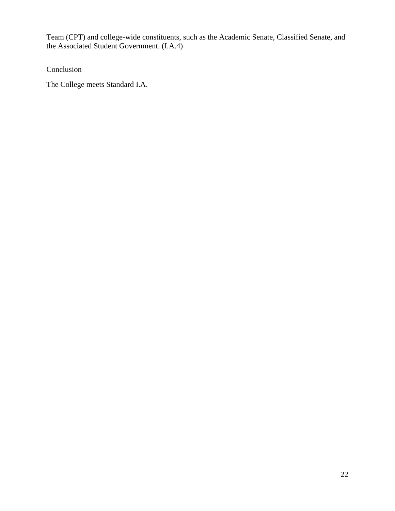Team (CPT) and college-wide constituents, such as the Academic Senate, Classified Senate, and the Associated Student Government. (I.A.4)

**Conclusion** 

The College meets Standard I.A.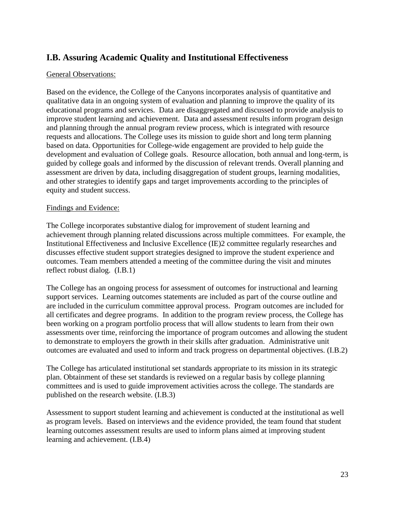# <span id="page-22-0"></span>**I.B. Assuring Academic Quality and Institutional Effectiveness**

#### General Observations:

 guided by college goals and informed by the discussion of relevant trends. Overall planning and Based on the evidence, the College of the Canyons incorporates analysis of quantitative and qualitative data in an ongoing system of evaluation and planning to improve the quality of its educational programs and services. Data are disaggregated and discussed to provide analysis to improve student learning and achievement. Data and assessment results inform program design and planning through the annual program review process, which is integrated with resource requests and allocations. The College uses its mission to guide short and long term planning based on data. Opportunities for College-wide engagement are provided to help guide the development and evaluation of College goals. Resource allocation, both annual and long-term, is assessment are driven by data, including disaggregation of student groups, learning modalities, and other strategies to identify gaps and target improvements according to the principles of equity and student success.

#### Findings and Evidence:

The College incorporates substantive dialog for improvement of student learning and achievement through planning related discussions across multiple committees. For example, the Institutional Effectiveness and Inclusive Excellence (IE)2 committee regularly researches and discusses effective student support strategies designed to improve the student experience and outcomes. Team members attended a meeting of the committee during the visit and minutes reflect robust dialog. (I.B.1)

The College has an ongoing process for assessment of outcomes for instructional and learning support services. Learning outcomes statements are included as part of the course outline and are included in the curriculum committee approval process. Program outcomes are included for all certificates and degree programs. In addition to the program review process, the College has been working on a program portfolio process that will allow students to learn from their own assessments over time, reinforcing the importance of program outcomes and allowing the student to demonstrate to employers the growth in their skills after graduation. Administrative unit outcomes are evaluated and used to inform and track progress on departmental objectives. (I.B.2)

The College has articulated institutional set standards appropriate to its mission in its strategic plan. Obtainment of these set standards is reviewed on a regular basis by college planning committees and is used to guide improvement activities across the college. The standards are published on the research website. (I.B.3)

Assessment to support student learning and achievement is conducted at the institutional as well as program levels. Based on interviews and the evidence provided, the team found that student learning outcomes assessment results are used to inform plans aimed at improving student learning and achievement. (I.B.4)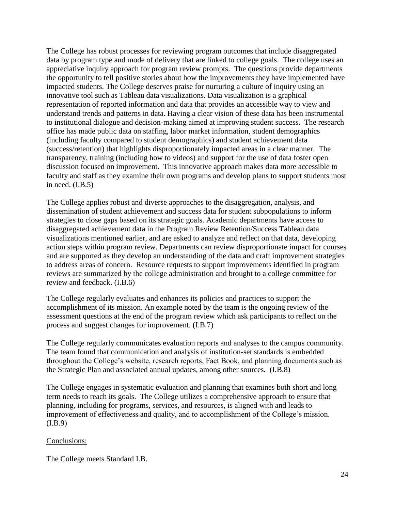The College has robust processes for reviewing program outcomes that include disaggregated data by program type and mode of delivery that are linked to college goals. The college uses an appreciative inquiry approach for program review prompts. The questions provide departments the opportunity to tell positive stories about how the improvements they have implemented have impacted students. The College deserves praise for nurturing a culture of inquiry using an innovative tool such as Tableau data visualizations. Data visualization is a graphical representation of reported information and data that provides an accessible way to view and understand trends and patterns in data. Having a clear vision of these data has been instrumental to institutional dialogue and decision-making aimed at improving student success. The research office has made public data on staffing, labor market information, student demographics (including faculty compared to student demographics) and student achievement data (success/retention) that highlights disproportionately impacted areas in a clear manner. The transparency, training (including how to videos) and support for the use of data foster open discussion focused on improvement. This innovative approach makes data more accessible to faculty and staff as they examine their own programs and develop plans to support students most in need. (I.B.5)

The College applies robust and diverse approaches to the disaggregation, analysis, and dissemination of student achievement and success data for student subpopulations to inform strategies to close gaps based on its strategic goals. Academic departments have access to disaggregated achievement data in the Program Review Retention/Success Tableau data visualizations mentioned earlier, and are asked to analyze and reflect on that data, developing action steps within program review. Departments can review disproportionate impact for courses and are supported as they develop an understanding of the data and craft improvement strategies to address areas of concern. Resource requests to support improvements identified in program reviews are summarized by the college administration and brought to a college committee for review and feedback. (I.B.6)

The College regularly evaluates and enhances its policies and practices to support the accomplishment of its mission. An example noted by the team is the ongoing review of the assessment questions at the end of the program review which ask participants to reflect on the process and suggest changes for improvement. (I.B.7)

The College regularly communicates evaluation reports and analyses to the campus community. The team found that communication and analysis of institution-set standards is embedded throughout the College's website, research reports, Fact Book, and planning documents such as the Strategic Plan and associated annual updates, among other sources. (I.B.8)

The College engages in systematic evaluation and planning that examines both short and long term needs to reach its goals. The College utilizes a comprehensive approach to ensure that planning, including for programs, services, and resources, is aligned with and leads to improvement of effectiveness and quality, and to accomplishment of the College's mission. (I.B.9)

## Conclusions:

The College meets Standard I.B.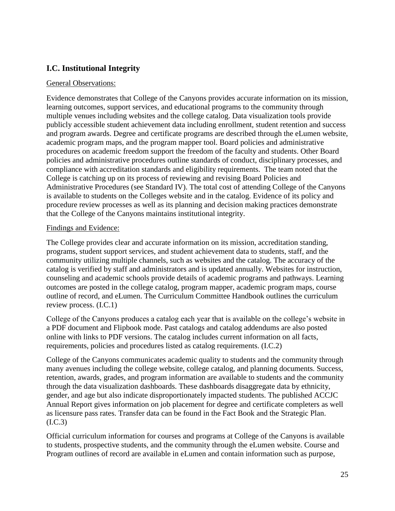# <span id="page-24-0"></span>**I.C. Institutional Integrity**

## General Observations:

Evidence demonstrates that College of the Canyons provides accurate information on its mission, learning outcomes, support services, and educational programs to the community through multiple venues including websites and the college catalog. Data visualization tools provide publicly accessible student achievement data including enrollment, student retention and success and program awards. Degree and certificate programs are described through the eLumen website, academic program maps, and the program mapper tool. Board policies and administrative procedures on academic freedom support the freedom of the faculty and students. Other Board policies and administrative procedures outline standards of conduct, disciplinary processes, and compliance with accreditation standards and eligibility requirements. The team noted that the College is catching up on its process of reviewing and revising Board Policies and Administrative Procedures (see Standard IV). The total cost of attending College of the Canyons is available to students on the Colleges website and in the catalog. Evidence of its policy and procedure review processes as well as its planning and decision making practices demonstrate that the College of the Canyons maintains institutional integrity.

## Findings and Evidence:

The College provides clear and accurate information on its mission, accreditation standing, programs, student support services, and student achievement data to students, staff, and the community utilizing multiple channels, such as websites and the catalog. The accuracy of the catalog is verified by staff and administrators and is updated annually. Websites for instruction, counseling and academic schools provide details of academic programs and pathways. Learning outcomes are posted in the college catalog, program mapper, academic program maps, course outline of record, and eLumen. The Curriculum Committee Handbook outlines the curriculum review process. (I.C.1)

 College of the Canyons produces a catalog each year that is available on the college's website in a PDF document and Flipbook mode. Past catalogs and catalog addendums are also posted online with links to PDF versions. The catalog includes current information on all facts, requirements, policies and procedures listed as catalog requirements. (I.C.2)

College of the Canyons communicates academic quality to students and the community through many avenues including the college website, college catalog, and planning documents. Success, retention, awards, grades, and program information are available to students and the community through the data visualization dashboards. These dashboards disaggregate data by ethnicity, gender, and age but also indicate disproportionately impacted students. The published ACCJC Annual Report gives information on job placement for degree and certificate completers as well as licensure pass rates. Transfer data can be found in the Fact Book and the Strategic Plan. (I.C.3)

Official curriculum information for courses and programs at College of the Canyons is available to students, prospective students, and the community through the eLumen website. Course and Program outlines of record are available in eLumen and contain information such as purpose,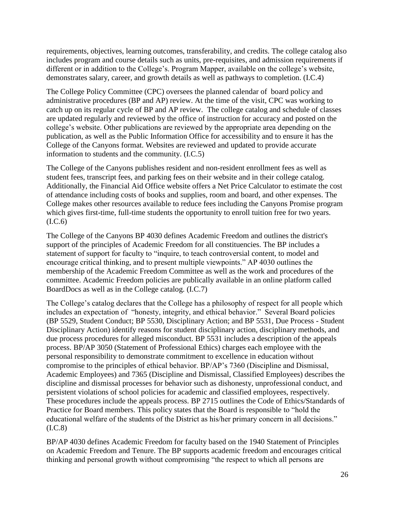requirements, objectives, learning outcomes, transferability, and credits. The college catalog also includes program and course details such as units, pre-requisites, and admission requirements if different or in addition to the College's. Program Mapper, available on the college's website, demonstrates salary, career, and growth details as well as pathways to completion. (I.C.4)

 catch up on its regular cycle of BP and AP review. The college catalog and schedule of classes The College Policy Committee (CPC) oversees the planned calendar of board policy and administrative procedures (BP and AP) review. At the time of the visit, CPC was working to are updated regularly and reviewed by the office of instruction for accuracy and posted on the college's website. Other publications are reviewed by the appropriate area depending on the publication, as well as the Public Information Office for accessibility and to ensure it has the College of the Canyons format. Websites are reviewed and updated to provide accurate information to students and the community. (I.C.5)

The College of the Canyons publishes resident and non-resident enrollment fees as well as student fees, transcript fees, and parking fees on their website and in their college catalog. Additionally, the Financial Aid Office website offers a Net Price Calculator to estimate the cost of attendance including costs of books and supplies, room and board, and other expenses. The College makes other resources available to reduce fees including the Canyons Promise program which gives first-time, full-time students the opportunity to enroll tuition free for two years.  $(I.C.6)$ 

The College of the Canyons BP 4030 defines Academic Freedom and outlines the district's support of the principles of Academic Freedom for all constituencies. The BP includes a statement of support for faculty to "inquire, to teach controversial content, to model and encourage critical thinking, and to present multiple viewpoints." AP 4030 outlines the membership of the Academic Freedom Committee as well as the work and procedures of the committee. Academic Freedom policies are publically available in an online platform called BoardDocs as well as in the College catalog. (I.C.7)

The College's catalog declares that the College has a philosophy of respect for all people which includes an expectation of "honesty, integrity, and ethical behavior." Several Board policies (BP 5529, Student Conduct; BP 5530, Disciplinary Action; and BP 5531, Due Process - Student Disciplinary Action) identify reasons for student disciplinary action, disciplinary methods, and due process procedures for alleged misconduct. BP 5531 includes a description of the appeals process. BP/AP 3050 (Statement of Professional Ethics) charges each employee with the personal responsibility to demonstrate commitment to excellence in education without compromise to the principles of ethical behavior. BP/AP's 7360 (Discipline and Dismissal, Academic Employees) and 7365 (Discipline and Dismissal, Classified Employees) describes the discipline and dismissal processes for behavior such as dishonesty, unprofessional conduct, and persistent violations of school policies for academic and classified employees, respectively. These procedures include the appeals process. BP 2715 outlines the Code of Ethics/Standards of Practice for Board members. This policy states that the Board is responsible to "hold the educational welfare of the students of the District as his/her primary concern in all decisions." (I.C.8)

 BP/AP 4030 defines Academic Freedom for faculty based on the 1940 Statement of Principles on Academic Freedom and Tenure. The BP supports academic freedom and encourages critical thinking and personal growth without compromising "the respect to which all persons are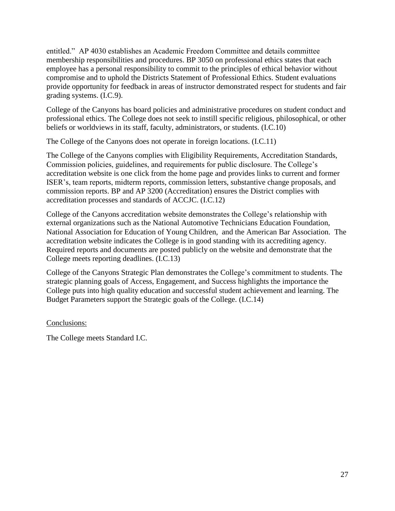entitled." AP 4030 establishes an Academic Freedom Committee and details committee membership responsibilities and procedures. BP 3050 on professional ethics states that each employee has a personal responsibility to commit to the principles of ethical behavior without compromise and to uphold the Districts Statement of Professional Ethics. Student evaluations provide opportunity for feedback in areas of instructor demonstrated respect for students and fair grading systems. (I.C.9).

College of the Canyons has board policies and administrative procedures on student conduct and professional ethics. The College does not seek to instill specific religious, philosophical, or other beliefs or worldviews in its staff, faculty, administrators, or students. (I.C.10)

The College of the Canyons does not operate in foreign locations. (I.C.11)

The College of the Canyons complies with Eligibility Requirements, Accreditation Standards, Commission policies, guidelines, and requirements for public disclosure. The College's accreditation website is one click from the home page and provides links to current and former ISER's, team reports, midterm reports, commission letters, substantive change proposals, and commission reports. BP and AP 3200 (Accreditation) ensures the District complies with accreditation processes and standards of ACCJC. (I.C.12)

College of the Canyons accreditation website demonstrates the College's relationship with external organizations such as the National Automotive Technicians Education Foundation, National Association for Education of Young Children, and the American Bar Association. The accreditation website indicates the College is in good standing with its accrediting agency. Required reports and documents are posted publicly on the website and demonstrate that the College meets reporting deadlines. (I.C.13)

College of the Canyons Strategic Plan demonstrates the College's commitment to students. The strategic planning goals of Access, Engagement, and Success highlights the importance the College puts into high quality education and successful student achievement and learning. The Budget Parameters support the Strategic goals of the College. (I.C.14)

Conclusions:

The College meets Standard I.C.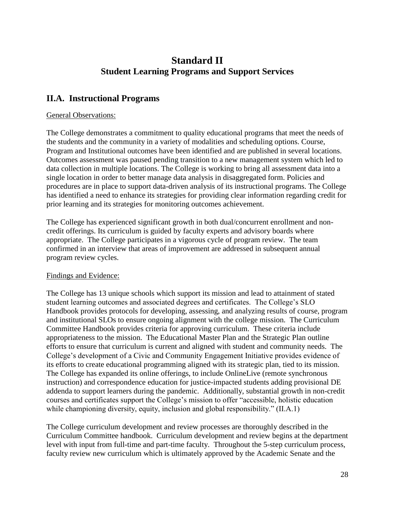# **Standard II Student Learning Programs and Support Services**

# <span id="page-27-1"></span><span id="page-27-0"></span> **II.A. Instructional Programs**

#### General Observations:

 has identified a need to enhance its strategies for providing clear information regarding credit for The College demonstrates a commitment to quality educational programs that meet the needs of the students and the community in a variety of modalities and scheduling options. Course, Program and Institutional outcomes have been identified and are published in several locations. Outcomes assessment was paused pending transition to a new management system which led to data collection in multiple locations. The College is working to bring all assessment data into a single location in order to better manage data analysis in disaggregated form. Policies and procedures are in place to support data-driven analysis of its instructional programs. The College prior learning and its strategies for monitoring outcomes achievement.

The College has experienced significant growth in both dual/concurrent enrollment and noncredit offerings. Its curriculum is guided by faculty experts and advisory boards where appropriate. The College participates in a vigorous cycle of program review. The team confirmed in an interview that areas of improvement are addressed in subsequent annual program review cycles.

## Findings and Evidence:

 and institutional SLOs to ensure ongoing alignment with the college mission. The Curriculum The College has 13 unique schools which support its mission and lead to attainment of stated student learning outcomes and associated degrees and certificates. The College's SLO Handbook provides protocols for developing, assessing, and analyzing results of course, program Committee Handbook provides criteria for approving curriculum. These criteria include appropriateness to the mission. The Educational Master Plan and the Strategic Plan outline efforts to ensure that curriculum is current and aligned with student and community needs. The College's development of a Civic and Community Engagement Initiative provides evidence of its efforts to create educational programming aligned with its strategic plan, tied to its mission. The College has expanded its online offerings, to include OnlineLive (remote synchronous instruction) and correspondence education for justice-impacted students adding provisional DE addenda to support learners during the pandemic. Additionally, substantial growth in non-credit courses and certificates support the College's mission to offer "accessible, holistic education while championing diversity, equity, inclusion and global responsibility." (II.A.1)

The College curriculum development and review processes are thoroughly described in the Curriculum Committee handbook. Curriculum development and review begins at the department level with input from full-time and part-time faculty. Throughout the 5-step curriculum process, faculty review new curriculum which is ultimately approved by the Academic Senate and the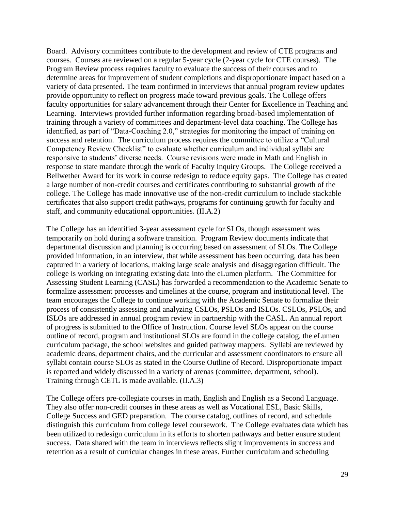response to state mandate through the work of Faculty Inquiry Groups. The College received a Bellwether Award for its work in course redesign to reduce equity gaps. The College has created Board. Advisory committees contribute to the development and review of CTE programs and courses. Courses are reviewed on a regular 5-year cycle (2-year cycle for CTE courses). The Program Review process requires faculty to evaluate the success of their courses and to determine areas for improvement of student completions and disproportionate impact based on a variety of data presented. The team confirmed in interviews that annual program review updates provide opportunity to reflect on progress made toward previous goals. The College offers faculty opportunities for salary advancement through their Center for Excellence in Teaching and Learning. Interviews provided further information regarding broad-based implementation of training through a variety of committees and department-level data coaching. The College has identified, as part of "Data-Coaching 2.0," strategies for monitoring the impact of training on success and retention. The curriculum process requires the committee to utilize a "Cultural Competency Review Checklist" to evaluate whether curriculum and individual syllabi are responsive to students' diverse needs. Course revisions were made in Math and English in a large number of non-credit courses and certificates contributing to substantial growth of the college. The College has made innovative use of the non-credit curriculum to include stackable certificates that also support credit pathways, programs for continuing growth for faculty and staff, and community educational opportunities. (II.A.2)

 of progress is submitted to the Office of Instruction. Course level SLOs appear on the course outline of record, program and institutional SLOs are found in the college catalog, the eLumen The College has an identified 3-year assessment cycle for SLOs, though assessment was temporarily on hold during a software transition. Program Review documents indicate that departmental discussion and planning is occurring based on assessment of SLOs. The College provided information, in an interview, that while assessment has been occurring, data has been captured in a variety of locations, making large scale analysis and disaggregation difficult. The college is working on integrating existing data into the eLumen platform. The Committee for Assessing Student Learning (CASL) has forwarded a recommendation to the Academic Senate to formalize assessment processes and timelines at the course, program and institutional level. The team encourages the College to continue working with the Academic Senate to formalize their process of consistently assessing and analyzing CSLOs, PSLOs and ISLOs. CSLOs, PSLOs, and ISLOs are addressed in annual program review in partnership with the CASL. An annual report curriculum package, the school websites and guided pathway mappers. Syllabi are reviewed by academic deans, department chairs, and the curricular and assessment coordinators to ensure all syllabi contain course SLOs as stated in the Course Outline of Record. Disproportionate impact is reported and widely discussed in a variety of arenas (committee, department, school). Training through CETL is made available. (II.A.3)

The College offers pre-collegiate courses in math, English and English as a Second Language. They also offer non-credit courses in these areas as well as Vocational ESL, Basic Skills, College Success and GED preparation. The course catalog, outlines of record, and schedule distinguish this curriculum from college level coursework. The College evaluates data which has been utilized to redesign curriculum in its efforts to shorten pathways and better ensure student success. Data shared with the team in interviews reflects slight improvements in success and retention as a result of curricular changes in these areas. Further curriculum and scheduling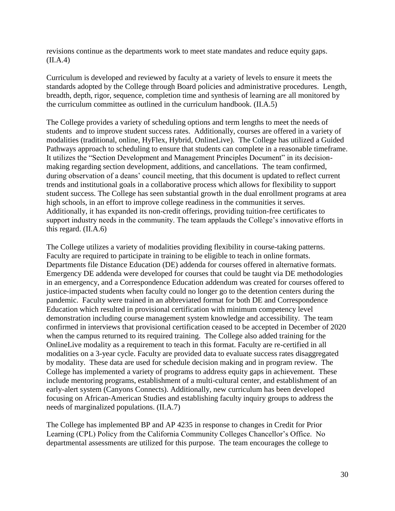revisions continue as the departments work to meet state mandates and reduce equity gaps. (II.A.4)

Curriculum is developed and reviewed by faculty at a variety of levels to ensure it meets the standards adopted by the College through Board policies and administrative procedures. Length, breadth, depth, rigor, sequence, completion time and synthesis of learning are all monitored by the curriculum committee as outlined in the curriculum handbook. (II.A.5)

The College provides a variety of scheduling options and term lengths to meet the needs of students and to improve student success rates. Additionally, courses are offered in a variety of modalities (traditional, online, HyFlex, Hybrid, OnlineLive). The College has utilized a Guided Pathways approach to scheduling to ensure that students can complete in a reasonable timeframe. It utilizes the "Section Development and Management Principles Document" in its decisionmaking regarding section development, additions, and cancellations. The team confirmed, during observation of a deans' council meeting, that this document is updated to reflect current trends and institutional goals in a collaborative process which allows for flexibility to support student success. The College has seen substantial growth in the dual enrollment programs at area high schools, in an effort to improve college readiness in the communities it serves. Additionally, it has expanded its non-credit offerings, providing tuition-free certificates to support industry needs in the community. The team applauds the College's innovative efforts in this regard. (II.A.6)

 Emergency DE addenda were developed for courses that could be taught via DE methodologies OnlineLive modality as a requirement to teach in this format. Faculty are re-certified in all The College utilizes a variety of modalities providing flexibility in course-taking patterns. Faculty are required to participate in training to be eligible to teach in online formats. Departments file Distance Education (DE) addenda for courses offered in alternative formats. in an emergency, and a Correspondence Education addendum was created for courses offered to justice-impacted students when faculty could no longer go to the detention centers during the pandemic. Faculty were trained in an abbreviated format for both DE and Correspondence Education which resulted in provisional certification with minimum competency level demonstration including course management system knowledge and accessibility. The team confirmed in interviews that provisional certification ceased to be accepted in December of 2020 when the campus returned to its required training. The College also added training for the modalities on a 3-year cycle. Faculty are provided data to evaluate success rates disaggregated by modality. These data are used for schedule decision making and in program review. The College has implemented a variety of programs to address equity gaps in achievement. These include mentoring programs, establishment of a multi-cultural center, and establishment of an early-alert system (Canyons Connects). Additionally, new curriculum has been developed focusing on African-American Studies and establishing faculty inquiry groups to address the needs of marginalized populations. (II.A.7)

The College has implemented BP and AP 4235 in response to changes in Credit for Prior Learning (CPL) Policy from the California Community Colleges Chancellor's Office. No departmental assessments are utilized for this purpose. The team encourages the college to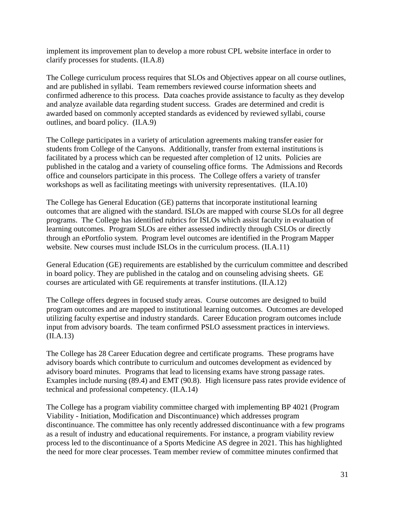implement its improvement plan to develop a more robust CPL website interface in order to clarify processes for students. (II.A.8)

The College curriculum process requires that SLOs and Objectives appear on all course outlines, and are published in syllabi. Team remembers reviewed course information sheets and confirmed adherence to this process. Data coaches provide assistance to faculty as they develop and analyze available data regarding student success. Grades are determined and credit is awarded based on commonly accepted standards as evidenced by reviewed syllabi, course outlines, and board policy. (II.A.9)

The College participates in a variety of articulation agreements making transfer easier for students from College of the Canyons. Additionally, transfer from external institutions is facilitated by a process which can be requested after completion of 12 units. Policies are published in the catalog and a variety of counseling office forms. The Admissions and Records office and counselors participate in this process. The College offers a variety of transfer workshops as well as facilitating meetings with university representatives. (II.A.10)

The College has General Education (GE) patterns that incorporate institutional learning outcomes that are aligned with the standard. ISLOs are mapped with course SLOs for all degree programs. The College has identified rubrics for ISLOs which assist faculty in evaluation of learning outcomes. Program SLOs are either assessed indirectly through CSLOs or directly through an ePortfolio system. Program level outcomes are identified in the Program Mapper website. New courses must include ISLOs in the curriculum process. (II.A.11)

General Education (GE) requirements are established by the curriculum committee and described in board policy. They are published in the catalog and on counseling advising sheets. GE courses are articulated with GE requirements at transfer institutions. (II.A.12)

The College offers degrees in focused study areas. Course outcomes are designed to build program outcomes and are mapped to institutional learning outcomes. Outcomes are developed utilizing faculty expertise and industry standards. Career Education program outcomes include input from advisory boards. The team confirmed PSLO assessment practices in interviews. (II.A.13)

The College has 28 Career Education degree and certificate programs. These programs have advisory boards which contribute to curriculum and outcomes development as evidenced by advisory board minutes. Programs that lead to licensing exams have strong passage rates. Examples include nursing (89.4) and EMT (90.8). High licensure pass rates provide evidence of technical and professional competency. (II.A.14)

The College has a program viability committee charged with implementing BP 4021 (Program Viability - Initiation, Modification and Discontinuance) which addresses program discontinuance. The committee has only recently addressed discontinuance with a few programs as a result of industry and educational requirements. For instance, a program viability review process led to the discontinuance of a Sports Medicine AS degree in 2021. This has highlighted the need for more clear processes. Team member review of committee minutes confirmed that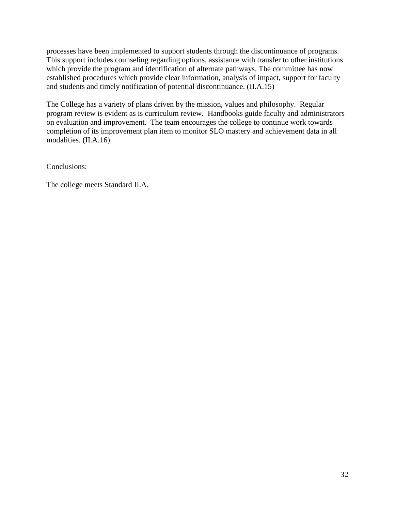processes have been implemented to support students through the discontinuance of programs. This support includes counseling regarding options, assistance with transfer to other institutions which provide the program and identification of alternate pathways. The committee has now established procedures which provide clear information, analysis of impact, support for faculty and students and timely notification of potential discontinuance. (II.A.15)

The College has a variety of plans driven by the mission, values and philosophy. Regular program review is evident as is curriculum review. Handbooks guide faculty and administrators on evaluation and improvement. The team encourages the college to continue work towards completion of its improvement plan item to monitor SLO mastery and achievement data in all modalities. (II.A.16)

Conclusions:

The college meets Standard II.A.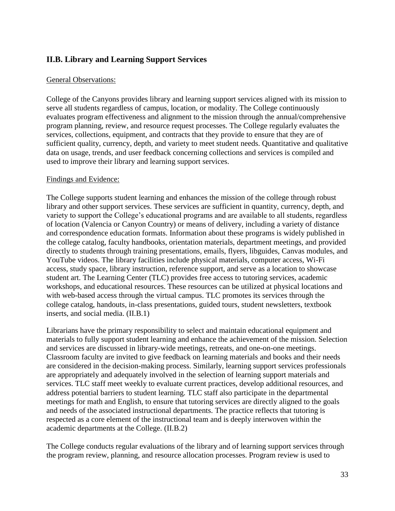## <span id="page-32-0"></span>**II.B. Library and Learning Support Services**

#### General Observations:

College of the Canyons provides library and learning support services aligned with its mission to serve all students regardless of campus, location, or modality. The College continuously evaluates program effectiveness and alignment to the mission through the annual/comprehensive program planning, review, and resource request processes. The College regularly evaluates the services, collections, equipment, and contracts that they provide to ensure that they are of sufficient quality, currency, depth, and variety to meet student needs. Quantitative and qualitative data on usage, trends, and user feedback concerning collections and services is compiled and used to improve their library and learning support services.

#### Findings and Evidence:

The College supports student learning and enhances the mission of the college through robust library and other support services. These services are sufficient in quantity, currency, depth, and variety to support the College's educational programs and are available to all students, regardless of location (Valencia or Canyon Country) or means of delivery, including a variety of distance and correspondence education formats. Information about these programs is widely published in the college catalog, faculty handbooks, orientation materials, department meetings, and provided directly to students through training presentations, emails, flyers, libguides, Canvas modules, and YouTube videos. The library facilities include physical materials, computer access, Wi-Fi access, study space, library instruction, reference support, and serve as a location to showcase student art. The Learning Center (TLC) provides free access to tutoring services, academic workshops, and educational resources. These resources can be utilized at physical locations and with web-based access through the virtual campus. TLC promotes its services through the college catalog, handouts, in-class presentations, guided tours, student newsletters, textbook inserts, and social media. (II.B.1)

 respected as a core element of the instructional team and is deeply interwoven within the Librarians have the primary responsibility to select and maintain educational equipment and materials to fully support student learning and enhance the achievement of the mission. Selection and services are discussed in library-wide meetings, retreats, and one-on-one meetings. Classroom faculty are invited to give feedback on learning materials and books and their needs are considered in the decision-making process. Similarly, learning support services professionals are appropriately and adequately involved in the selection of learning support materials and services. TLC staff meet weekly to evaluate current practices, develop additional resources, and address potential barriers to student learning. TLC staff also participate in the departmental meetings for math and English, to ensure that tutoring services are directly aligned to the goals and needs of the associated instructional departments. The practice reflects that tutoring is academic departments at the College. (II.B.2)

The College conducts regular evaluations of the library and of learning support services through the program review, planning, and resource allocation processes. Program review is used to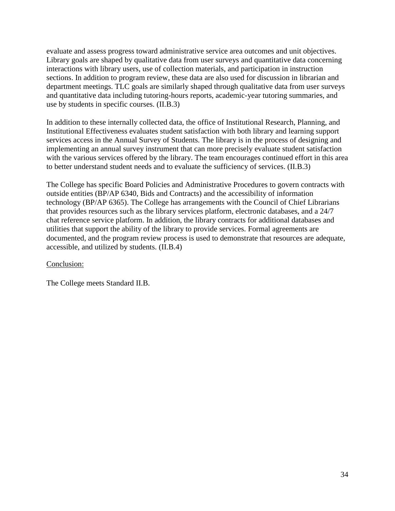evaluate and assess progress toward administrative service area outcomes and unit objectives. Library goals are shaped by qualitative data from user surveys and quantitative data concerning interactions with library users, use of collection materials, and participation in instruction sections. In addition to program review, these data are also used for discussion in librarian and department meetings. TLC goals are similarly shaped through qualitative data from user surveys and quantitative data including tutoring-hours reports, academic-year tutoring summaries, and use by students in specific courses. (II.B.3)

In addition to these internally collected data, the office of Institutional Research, Planning, and Institutional Effectiveness evaluates student satisfaction with both library and learning support services access in the Annual Survey of Students. The library is in the process of designing and implementing an annual survey instrument that can more precisely evaluate student satisfaction with the various services offered by the library. The team encourages continued effort in this area to better understand student needs and to evaluate the sufficiency of services. (II.B.3)

The College has specific Board Policies and Administrative Procedures to govern contracts with outside entities (BP/AP 6340, Bids and Contracts) and the accessibility of information technology (BP/AP 6365). The College has arrangements with the Council of Chief Librarians that provides resources such as the library services platform, electronic databases, and a 24/7 chat reference service platform. In addition, the library contracts for additional databases and utilities that support the ability of the library to provide services. Formal agreements are documented, and the program review process is used to demonstrate that resources are adequate, accessible, and utilized by students. (II.B.4)

## Conclusion:

The College meets Standard II.B.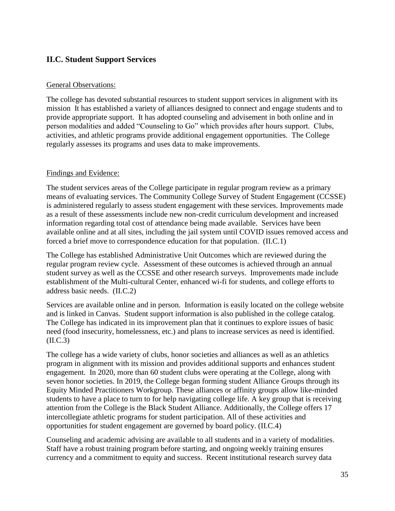## <span id="page-34-0"></span>**II.C. Student Support Services**

#### General Observations:

The college has devoted substantial resources to student support services in alignment with its mission It has established a variety of alliances designed to connect and engage students and to provide appropriate support. It has adopted counseling and advisement in both online and in person modalities and added "Counseling to Go" which provides after hours support. Clubs, activities, and athletic programs provide additional engagement opportunities. The College regularly assesses its programs and uses data to make improvements.

#### Findings and Evidence:

The student services areas of the College participate in regular program review as a primary means of evaluating services. The Community College Survey of Student Engagement (CCSSE) is administered regularly to assess student engagement with these services. Improvements made as a result of these assessments include new non-credit curriculum development and increased information regarding total cost of attendance being made available. Services have been available online and at all sites, including the jail system until COVID issues removed access and forced a brief move to correspondence education for that population. (II.C.1)

The College has established Administrative Unit Outcomes which are reviewed during the regular program review cycle. Assessment of these outcomes is achieved through an annual student survey as well as the CCSSE and other research surveys. Improvements made include establishment of the Multi-cultural Center, enhanced wi-fi for students, and college efforts to address basic needs. (II.C.2)

Services are available online and in person. Information is easily located on the college website and is linked in Canvas. Student support information is also published in the college catalog. The College has indicated in its improvement plan that it continues to explore issues of basic need (food insecurity, homelessness, etc.) and plans to increase services as need is identified. (II.C.3)

The college has a wide variety of clubs, honor societies and alliances as well as an athletics program in alignment with its mission and provides additional supports and enhances student engagement. In 2020, more than 60 student clubs were operating at the College, along with seven honor societies. In 2019, the College began forming student Alliance Groups through its Equity Minded Practitioners Workgroup. These alliances or affinity groups allow like-minded students to have a place to turn to for help navigating college life. A key group that is receiving attention from the College is the Black Student Alliance. Additionally, the College offers 17 intercollegiate athletic programs for student participation. All of these activities and opportunities for student engagement are governed by board policy. (II.C.4)

 Counseling and academic advising are available to all students and in a variety of modalities. Staff have a robust training program before starting, and ongoing weekly training ensures currency and a commitment to equity and success. Recent institutional research survey data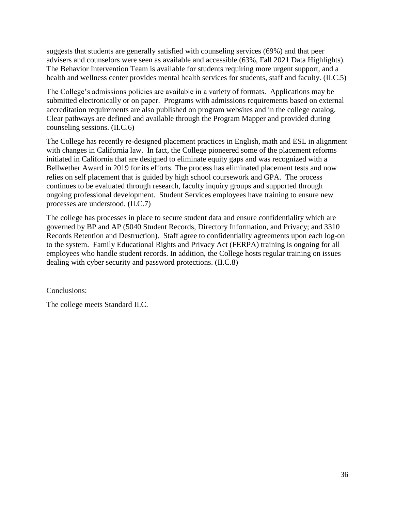suggests that students are generally satisfied with counseling services (69%) and that peer advisers and counselors were seen as available and accessible (63%, Fall 2021 Data Highlights). The Behavior Intervention Team is available for students requiring more urgent support, and a health and wellness center provides mental health services for students, staff and faculty. (II.C.5)

The College's admissions policies are available in a variety of formats. Applications may be submitted electronically or on paper. Programs with admissions requirements based on external accreditation requirements are also published on program websites and in the college catalog. Clear pathways are defined and available through the Program Mapper and provided during counseling sessions. (II.C.6)

The College has recently re-designed placement practices in English, math and ESL in alignment with changes in California law. In fact, the College pioneered some of the placement reforms initiated in California that are designed to eliminate equity gaps and was recognized with a Bellwether Award in 2019 for its efforts. The process has eliminated placement tests and now relies on self placement that is guided by high school coursework and GPA. The process continues to be evaluated through research, faculty inquiry groups and supported through ongoing professional development. Student Services employees have training to ensure new processes are understood. (II.C.7)

 to the system. Family Educational Rights and Privacy Act (FERPA) training is ongoing for all The college has processes in place to secure student data and ensure confidentiality which are governed by BP and AP (5040 Student Records, Directory Information, and Privacy; and 3310 Records Retention and Destruction). Staff agree to confidentiality agreements upon each log-on employees who handle student records. In addition, the College hosts regular training on issues dealing with cyber security and password protections. (II.C.8)

Conclusions:

The college meets Standard II.C.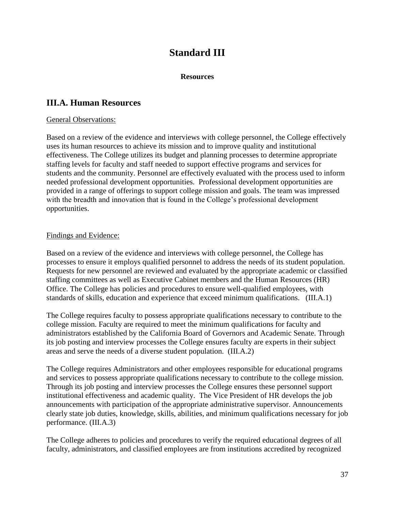# **Standard III**

#### **Resources**

## <span id="page-36-1"></span><span id="page-36-0"></span>**III.A. Human Resources**

#### General Observations:

 Based on a review of the evidence and interviews with college personnel, the College effectively uses its human resources to achieve its mission and to improve quality and institutional effectiveness. The College utilizes its budget and planning processes to determine appropriate staffing levels for faculty and staff needed to support effective programs and services for students and the community. Personnel are effectively evaluated with the process used to inform needed professional development opportunities. Professional development opportunities are provided in a range of offerings to support college mission and goals. The team was impressed with the breadth and innovation that is found in the College's professional development opportunities.

#### Findings and Evidence:

 Based on a review of the evidence and interviews with college personnel, the College has processes to ensure it employs qualified personnel to address the needs of its student population. Requests for new personnel are reviewed and evaluated by the appropriate academic or classified staffing committees as well as Executive Cabinet members and the Human Resources (HR) Office. The College has policies and procedures to ensure well-qualified employees, with standards of skills, education and experience that exceed minimum qualifications. (III.A.1)

The College requires faculty to possess appropriate qualifications necessary to contribute to the college mission. Faculty are required to meet the minimum qualifications for faculty and administrators established by the California Board of Governors and Academic Senate. Through its job posting and interview processes the College ensures faculty are experts in their subject areas and serve the needs of a diverse student population. (III.A.2)

performance. (III.A.3) The College requires Administrators and other employees responsible for educational programs and services to possess appropriate qualifications necessary to contribute to the college mission. Through its job posting and interview processes the College ensures these personnel support institutional effectiveness and academic quality. The Vice President of HR develops the job announcements with participation of the appropriate administrative supervisor. Announcements clearly state job duties, knowledge, skills, abilities, and minimum qualifications necessary for job

The College adheres to policies and procedures to verify the required educational degrees of all faculty, administrators, and classified employees are from institutions accredited by recognized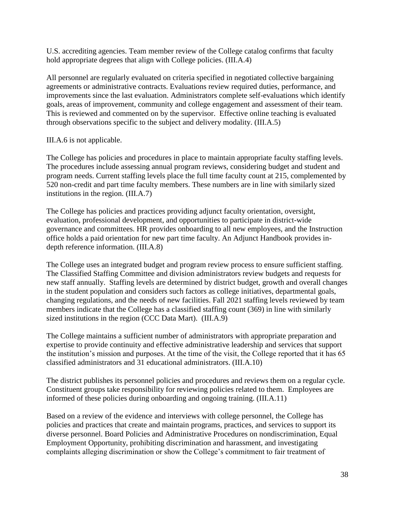U.S. accrediting agencies. Team member review of the College catalog confirms that faculty hold appropriate degrees that align with College policies. (III.A.4)

All personnel are regularly evaluated on criteria specified in negotiated collective bargaining agreements or administrative contracts. Evaluations review required duties, performance, and improvements since the last evaluation. Administrators complete self-evaluations which identify goals, areas of improvement, community and college engagement and assessment of their team. This is reviewed and commented on by the supervisor. Effective online teaching is evaluated through observations specific to the subject and delivery modality. (III.A.5)

#### III.A.6 is not applicable.

The College has policies and procedures in place to maintain appropriate faculty staffing levels. The procedures include assessing annual program reviews, considering budget and student and program needs. Current staffing levels place the full time faculty count at 215, complemented by 520 non-credit and part time faculty members. These numbers are in line with similarly sized institutions in the region. (III.A.7)

The College has policies and practices providing adjunct faculty orientation, oversight, evaluation, professional development, and opportunities to participate in district-wide governance and committees. HR provides onboarding to all new employees, and the Instruction office holds a paid orientation for new part time faculty. An Adjunct Handbook provides indepth reference information. (III.A.8)

The College uses an integrated budget and program review process to ensure sufficient staffing. The Classified Staffing Committee and division administrators review budgets and requests for new staff annually. Staffing levels are determined by district budget, growth and overall changes in the student population and considers such factors as college initiatives, departmental goals, changing regulations, and the needs of new facilities. Fall 2021 staffing levels reviewed by team members indicate that the College has a classified staffing count (369) in line with similarly sized institutions in the region (CCC Data Mart). (III.A.9)

The College maintains a sufficient number of administrators with appropriate preparation and expertise to provide continuity and effective administrative leadership and services that support the institution's mission and purposes. At the time of the visit, the College reported that it has 65 classified administrators and 31 educational administrators. [\(III.A.10\)](https://III.A.10)

The district publishes its personnel policies and procedures and reviews them on a regular cycle. Constituent groups take responsibility for reviewing policies related to them. Employees are informed of these policies during onboarding and ongoing training. ([III.A.11\)](https://III.A.11)

 Based on a review of the evidence and interviews with college personnel, the College has policies and practices that create and maintain programs, practices, and services to support its diverse personnel. Board Policies and Administrative Procedures on nondiscrimination, Equal Employment Opportunity, prohibiting discrimination and harassment, and investigating complaints alleging discrimination or show the College's commitment to fair treatment of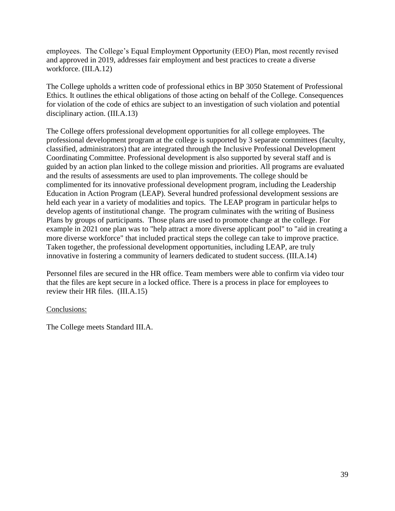employees. The College's Equal Employment Opportunity (EEO) Plan, most recently revised and approved in 2019, addresses fair employment and best practices to create a diverse workforce. [\(III.A.12\)](https://III.A.12)

The College upholds a written code of professional ethics in BP 3050 Statement of Professional Ethics. It outlines the ethical obligations of those acting on behalf of the College. Consequences for violation of the code of ethics are subject to an investigation of such violation and potential disciplinary action. ([III.A.13\)](https://III.A.13)

 example in 2021 one plan was to "help attract a more diverse applicant pool" to "aid in creating a innovative in fostering a community of learners dedicated to student success. ([III.A.14](https://III.A.14)) The College offers professional development opportunities for all college employees. The professional development program at the college is supported by 3 separate committees (faculty, classified, administrators) that are integrated through the Inclusive Professional Development Coordinating Committee. Professional development is also supported by several staff and is guided by an action plan linked to the college mission and priorities. All programs are evaluated and the results of assessments are used to plan improvements. The college should be complimented for its innovative professional development program, including the Leadership Education in Action Program (LEAP). Several hundred professional development sessions are held each year in a variety of modalities and topics. The LEAP program in particular helps to develop agents of institutional change. The program culminates with the writing of Business Plans by groups of participants. Those plans are used to promote change at the college. For more diverse workforce" that included practical steps the college can take to improve practice. Taken together, the professional development opportunities, including LEAP, are truly

Personnel files are secured in the HR office. Team members were able to confirm via video tour that the files are kept secure in a locked office. There is a process in place for employees to review their HR files. ([III.A.15\)](https://III.A.15)

#### Conclusions:

The College meets Standard III.A.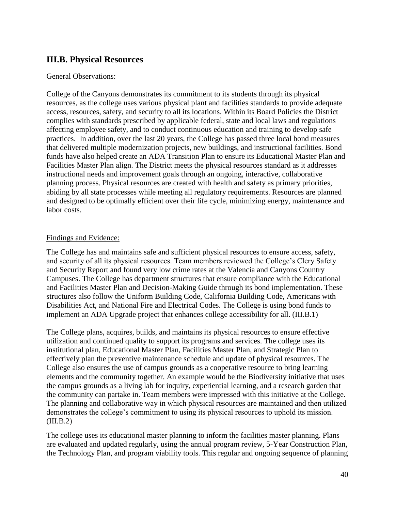# <span id="page-39-0"></span>**III.B. Physical Resources**

#### General Observations:

College of the Canyons demonstrates its commitment to its students through its physical resources, as the college uses various physical plant and facilities standards to provide adequate access, resources, safety, and security to all its locations. Within its Board Policies the District complies with standards prescribed by applicable federal, state and local laws and regulations affecting employee safety, and to conduct continuous education and training to develop safe practices. In addition, over the last 20 years, the College has passed three local bond measures that delivered multiple modernization projects, new buildings, and instructional facilities. Bond funds have also helped create an ADA Transition Plan to ensure its Educational Master Plan and Facilities Master Plan align. The District meets the physical resources standard as it addresses instructional needs and improvement goals through an ongoing, interactive, collaborative planning process. Physical resources are created with health and safety as primary priorities, abiding by all state processes while meeting all regulatory requirements. Resources are planned and designed to be optimally efficient over their life cycle, minimizing energy, maintenance and labor costs.

#### Findings and Evidence:

The College has and maintains safe and sufficient physical resources to ensure access, safety, and security of all its physical resources. Team members reviewed the College's Clery Safety and Security Report and found very low crime rates at the Valencia and Canyons Country Campuses. The College has department structures that ensure compliance with the Educational and Facilities Master Plan and Decision-Making Guide through its bond implementation. These structures also follow the Uniform Building Code, California Building Code, Americans with Disabilities Act, and National Fire and Electrical Codes. The College is using bond funds to implement an ADA Upgrade project that enhances college accessibility for all. (III.B.1)

 the campus grounds as a living lab for inquiry, experiential learning, and a research garden that The College plans, acquires, builds, and maintains its physical resources to ensure effective utilization and continued quality to support its programs and services. The college uses its institutional plan, Educational Master Plan, Facilities Master Plan, and Strategic Plan to effectively plan the preventive maintenance schedule and update of physical resources. The College also ensures the use of campus grounds as a cooperative resource to bring learning elements and the community together. An example would be the Biodiversity initiative that uses the community can partake in. Team members were impressed with this initiative at the College. The planning and collaborative way in which physical resources are maintained and then utilized demonstrates the college's commitment to using its physical resources to uphold its mission.  $(III.B.2)$ 

The college uses its educational master planning to inform the facilities master planning. Plans are evaluated and updated regularly, using the annual program review, 5-Year Construction Plan, the Technology Plan, and program viability tools. This regular and ongoing sequence of planning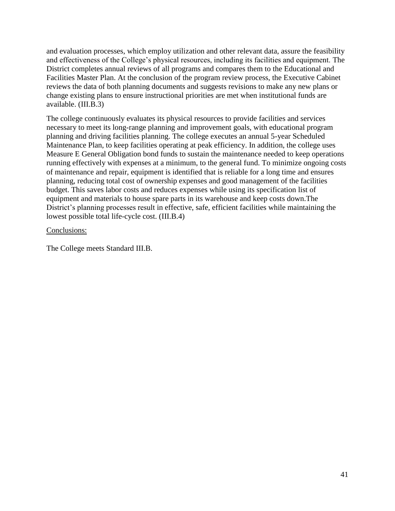and evaluation processes, which employ utilization and other relevant data, assure the feasibility and effectiveness of the College's physical resources, including its facilities and equipment. The District completes annual reviews of all programs and compares them to the Educational and Facilities Master Plan. At the conclusion of the program review process, the Executive Cabinet reviews the data of both planning documents and suggests revisions to make any new plans or change existing plans to ensure instructional priorities are met when institutional funds are available. (III.B.3)

The college continuously evaluates its physical resources to provide facilities and services necessary to meet its long-range planning and improvement goals, with educational program planning and driving facilities planning. The college executes an annual 5-year Scheduled Maintenance Plan, to keep facilities operating at peak efficiency. In addition, the college uses Measure E General Obligation bond funds to sustain the maintenance needed to keep operations running effectively with expenses at a minimum, to the general fund. To minimize ongoing costs of maintenance and repair, equipment is identified that is reliable for a long time and ensures planning, reducing total cost of ownership expenses and good management of the facilities budget. This saves labor costs and reduces expenses while using its specification list of equipment and materials to house spare parts in its warehouse and keep costs down.The District's planning processes result in effective, safe, efficient facilities while maintaining the lowest possible total life-cycle cost. (III.B.4)

Conclusions:

The College meets Standard III.B.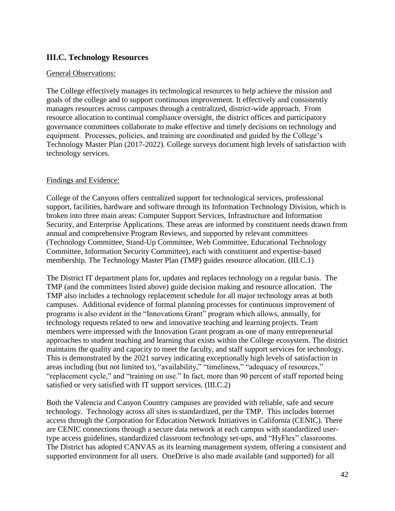## <span id="page-41-0"></span>**III.C. Technology Resources**

#### General Observations:

The College effectively manages its technological resources to help achieve the mission and goals of the college and to support continuous improvement. It effectively and consistently manages resources across campuses through a centralized, district-wide approach. From resource allocation to continual compliance oversight, the district offices and participatory governance committees collaborate to make effective and timely decisions on technology and equipment. Processes, policies, and training are coordinated and guided by the College's Technology Master Plan (2017-2022). College surveys document high levels of satisfaction with technology services.

#### Findings and Evidence:

College of the Canyons offers centralized support for technological services, professional support, facilities, hardware and software through its Information Technology Division, which is broken into three main areas: Computer Support Services, Infrastructure and Information Security, and Enterprise Applications. These areas are informed by constituent needs drawn from annual and comprehensive Program Reviews, and supported by relevant committees (Technology Committee, Stand-Up Committee, Web Committee, Educational Technology Committee, Information Security Committee), each with constituent and expertise-based membership. The Technology Master Plan (TMP) guides resource allocation. (III.C.1)

The District IT department plans for, updates and replaces technology on a regular basis. The TMP (and the committees listed above) guide decision making and resource allocation. The TMP also includes a technology replacement schedule for all major technology areas at both campuses. Additional evidence of formal planning processes for continuous improvement of programs is also evident in the "Innovations Grant" program which allows, annually, for technology requests related to new and innovative teaching and learning projects. Team members were impressed with the Innovation Grant program as one of many entrepreneurial approaches to student teaching and learning that exists within the College ecosystem. The district maintains the quality and capacity to meet the faculty, and staff support services for technology. This is demonstrated by the 2021 survey indicating exceptionally high levels of satisfaction in areas including (but not limited to), "availability," "timeliness," "adequacy of resources," "replacement cycle," and "training on use." In fact, more than 90 percent of staff reported being satisfied or very satisfied with IT support services. (III.C.2)

 Both the Valencia and Canyon Country campuses are provided with reliable, safe and secure technology. Technology across all sites is standardized, per the TMP. This includes Internet access through the Corporation for Education Network Initiatives in California (CENIC). There are CENIC connections through a secure data network at each campus with standardized usertype access guidelines, standardized classroom technology set-ups, and "HyFlex" classrooms. The District has adopted CANVAS as its learning management system, offering a consistent and supported environment for all users. OneDrive is also made available (and supported) for all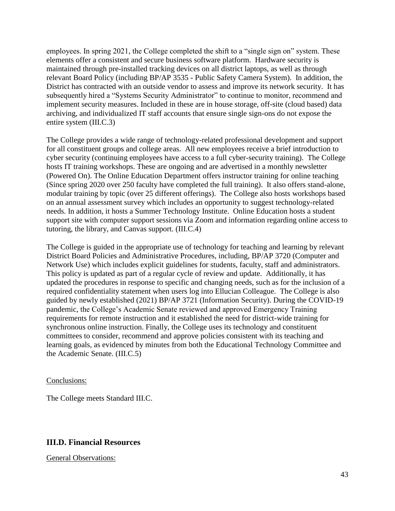employees. In spring 2021, the College completed the shift to a "single sign on" system. These elements offer a consistent and secure business software platform. Hardware security is maintained through pre-installed tracking devices on all district laptops, as well as through relevant Board Policy (including BP/AP 3535 - Public Safety Camera System). In addition, the District has contracted with an outside vendor to assess and improve its network security. It has subsequently hired a "Systems Security Administrator" to continue to monitor, recommend and implement security measures. Included in these are in house storage, off-site (cloud based) data archiving, and individualized IT staff accounts that ensure single sign-ons do not expose the entire system (III.C.3)

The College provides a wide range of technology-related professional development and support for all constituent groups and college areas. All new employees receive a brief introduction to cyber security (continuing employees have access to a full cyber-security training). The College hosts IT training workshops. These are ongoing and are advertised in a monthly newsletter (Powered On). The Online Education Department offers instructor training for online teaching (Since spring 2020 over 250 faculty have completed the full training). It also offers stand-alone, modular training by topic (over 25 different offerings). The College also hosts workshops based on an annual assessment survey which includes an opportunity to suggest technology-related needs. In addition, it hosts a Summer Technology Institute. Online Education hosts a student support site with computer support sessions via Zoom and information regarding online access to tutoring, the library, and Canvas support. (III.C.4)

 requirements for remote instruction and it established the need for district-wide training for The College is guided in the appropriate use of technology for teaching and learning by relevant District Board Policies and Administrative Procedures, including, BP/AP 3720 (Computer and Network Use) which includes explicit guidelines for students, faculty, staff and administrators. This policy is updated as part of a regular cycle of review and update. Additionally, it has updated the procedures in response to specific and changing needs, such as for the inclusion of a required confidentiality statement when users log into Ellucian Colleague. The College is also guided by newly established (2021) BP/AP 3721 (Information Security). During the COVID-19 pandemic, the College's Academic Senate reviewed and approved Emergency Training synchronous online instruction. Finally, the College uses its technology and constituent committees to consider, recommend and approve policies consistent with its teaching and learning goals, as evidenced by minutes from both the Educational Technology Committee and the Academic Senate. (III.C.5)

#### Conclusions:

The College meets Standard III.C.

## <span id="page-42-0"></span>**III.D. Financial Resources**

General Observations: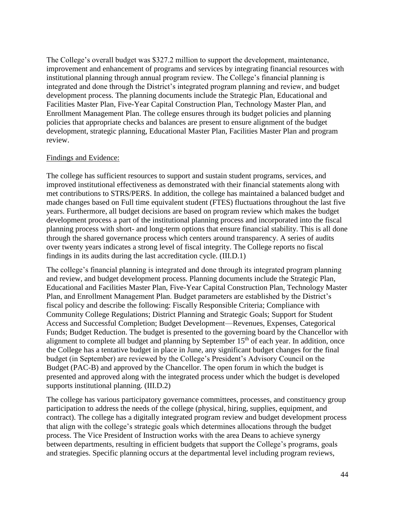The College's overall budget was \$327.2 million to support the development, maintenance, improvement and enhancement of programs and services by integrating financial resources with institutional planning through annual program review. The College's financial planning is integrated and done through the District's integrated program planning and review, and budget development process. The planning documents include the Strategic Plan, Educational and Facilities Master Plan, Five-Year Capital Construction Plan, Technology Master Plan, and Enrollment Management Plan. The college ensures through its budget policies and planning policies that appropriate checks and balances are present to ensure alignment of the budget development, strategic planning, Educational Master Plan, Facilities Master Plan and program review.

#### Findings and Evidence:

The college has sufficient resources to support and sustain student programs, services, and improved institutional effectiveness as demonstrated with their financial statements along with met contributions to STRS/PERS. In addition, the college has maintained a balanced budget and made changes based on Full time equivalent student (FTES) fluctuations throughout the last five years. Furthermore, all budget decisions are based on program review which makes the budget development process a part of the institutional planning process and incorporated into the fiscal planning process with short- and long-term options that ensure financial stability. This is all done through the shared governance process which centers around transparency. A series of audits over twenty years indicates a strong level of fiscal integrity. The College reports no fiscal findings in its audits during the last accreditation cycle. (III.D.1)

The college's financial planning is integrated and done through its integrated program planning and review, and budget development process. Planning documents include the Strategic Plan, Educational and Facilities Master Plan, Five-Year Capital Construction Plan, Technology Master Plan, and Enrollment Management Plan. Budget parameters are established by the District's fiscal policy and describe the following: Fiscally Responsible Criteria; Compliance with Community College Regulations; District Planning and Strategic Goals; Support for Student Access and Successful Completion; Budget Development––Revenues, Expenses, Categorical Funds; Budget Reduction. The budget is presented to the governing board by the Chancellor with alignment to complete all budget and planning by September  $15<sup>th</sup>$  of each year. In addition, once the College has a tentative budget in place in June, any significant budget changes for the final budget (in September) are reviewed by the College's President's Advisory Council on the Budget (PAC-B) and approved by the Chancellor. The open forum in which the budget is presented and approved along with the integrated process under which the budget is developed supports institutional planning. (III.D.2)

 The college has various participatory governance committees, processes, and constituency group participation to address the needs of the college (physical, hiring, supplies, equipment, and contract). The college has a digitally integrated program review and budget development process that align with the college's strategic goals which determines allocations through the budget process. The Vice President of Instruction works with the area Deans to achieve synergy between departments, resulting in efficient budgets that support the College's programs, goals and strategies. Specific planning occurs at the departmental level including program reviews,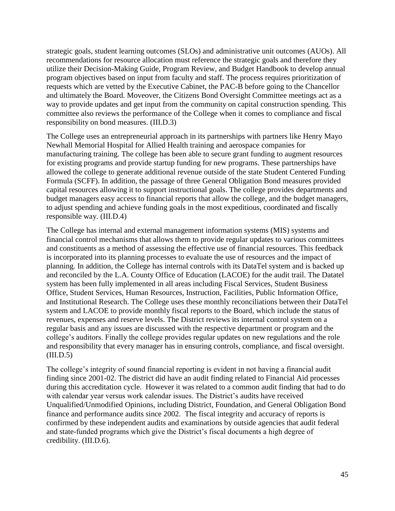strategic goals, student learning outcomes (SLOs) and administrative unit outcomes (AUOs). All recommendations for resource allocation must reference the strategic goals and therefore they utilize their Decision-Making Guide, Program Review, and Budget Handbook to develop annual program objectives based on input from faculty and staff. The process requires prioritization of requests which are vetted by the Executive Cabinet, the PAC-B before going to the Chancellor and ultimately the Board. Moveover, the Citizens Bond Oversight Committee meetings act as a way to provide updates and get input from the community on capital construction spending. This committee also reviews the performance of the College when it comes to compliance and fiscal responsibility on bond measures. (III.D.3)

The College uses an entrepreneurial approach in its partnerships with partners like Henry Mayo Newhall Memorial Hospital for Allied Health training and aerospace companies for manufacturing training. The college has been able to secure grant funding to augment resources for existing programs and provide startup funding for new programs. These partnerships have allowed the college to generate additional revenue outside of the state Student Centered Funding Formula (SCFF). In addition, the passage of three General Obligation Bond measures provided capital resources allowing it to support instructional goals. The college provides departments and budget managers easy access to financial reports that allow the college, and the budget managers, to adjust spending and achieve funding goals in the most expeditious, coordinated and fiscally responsible way. (III.D.4)

The College has internal and external management information systems (MIS) systems and financial control mechanisms that allows them to provide regular updates to various committees and constituents as a method of assessing the effective use of financial resources. This feedback is incorporated into its planning processes to evaluate the use of resources and the impact of planning. In addition, the College has internal controls with its DataTel system and is backed up and reconciled by the L.A. County Office of Education (LACOE) for the audit trail. The Datatel system has been fully implemented in all areas including Fiscal Services, Student Business Office, Student Services, Human Resources, Instruction, Facilities, Public Information Office, and Institutional Research. The College uses these monthly reconciliations between their DataTel system and LACOE to provide monthly fiscal reports to the Board, which include the status of revenues, expenses and reserve levels. The District reviews its internal control system on a regular basis and any issues are discussed with the respective department or program and the college's auditors. Finally the college provides regular updates on new regulations and the role and responsibility that every manager has in ensuring controls, compliance, and fiscal oversight.  $(III.D.5)$ 

 finance and performance audits since 2002. The fiscal integrity and accuracy of reports is The college's integrity of sound financial reporting is evident in not having a financial audit finding since 2001-02. The district did have an audit finding related to Financial Aid processes during this accreditation cycle. However it was related to a common audit finding that had to do with calendar year versus work calendar issues. The District's audits have received Unqualified/Unmodified Opinions, including District, Foundation, and General Obligation Bond confirmed by these independent audits and examinations by outside agencies that audit federal and state-funded programs which give the District's fiscal documents a high degree of credibility. (III.D.6).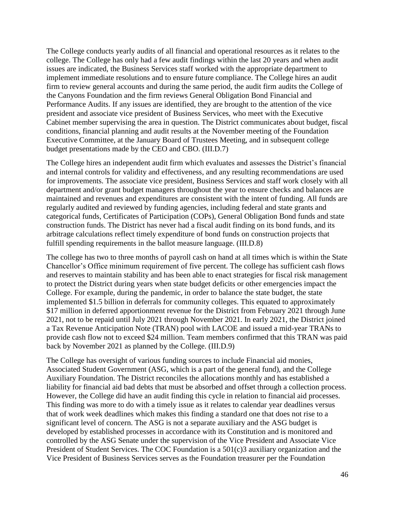The College conducts yearly audits of all financial and operational resources as it relates to the college. The College has only had a few audit findings within the last 20 years and when audit issues are indicated, the Business Services staff worked with the appropriate department to implement immediate resolutions and to ensure future compliance. The College hires an audit firm to review general accounts and during the same period, the audit firm audits the College of the Canyons Foundation and the firm reviews General Obligation Bond Financial and Performance Audits. If any issues are identified, they are brought to the attention of the vice president and associate vice president of Business Services, who meet with the Executive Cabinet member supervising the area in question. The District communicates about budget, fiscal conditions, financial planning and audit results at the November meeting of the Foundation Executive Committee, at the January Board of Trustees Meeting, and in subsequent college budget presentations made by the CEO and CBO. (III.D.7)

The College hires an independent audit firm which evaluates and assesses the District's financial and internal controls for validity and effectiveness, and any resulting recommendations are used for improvements. The associate vice president, Business Services and staff work closely with all department and/or grant budget managers throughout the year to ensure checks and balances are maintained and revenues and expenditures are consistent with the intent of funding. All funds are regularly audited and reviewed by funding agencies, including federal and state grants and categorical funds, Certificates of Participation (COPs), General Obligation Bond funds and state construction funds. The District has never had a fiscal audit finding on its bond funds, and its arbitrage calculations reflect timely expenditure of bond funds on construction projects that fulfill spending requirements in the ballot measure language. (III.D.8)

The college has two to three months of payroll cash on hand at all times which is within the State Chancellor's Office minimum requirement of five percent. The college has sufficient cash flows and reserves to maintain stability and has been able to enact strategies for fiscal risk management to protect the District during years when state budget deficits or other emergencies impact the College. For example, during the pandemic, in order to balance the state budget, the state implemented \$1.5 billion in deferrals for community colleges. This equated to approximately \$17 million in deferred apportionment revenue for the District from February 2021 through June 2021, not to be repaid until July 2021 through November 2021. In early 2021, the District joined a Tax Revenue Anticipation Note (TRAN) pool with LACOE and issued a mid-year TRANs to provide cash flow not to exceed \$24 million. Team members confirmed that this TRAN was paid back by November 2021 as planned by the College. (III.D.9)

The College has oversight of various funding sources to include Financial aid monies, Associated Student Government (ASG, which is a part of the general fund), and the College Auxiliary Foundation. The District reconciles the allocations monthly and has established a liability for financial aid bad debts that must be absorbed and offset through a collection process. However, the College did have an audit finding this cycle in relation to financial aid processes. This finding was more to do with a timely issue as it relates to calendar year deadlines versus that of work week deadlines which makes this finding a standard one that does not rise to a significant level of concern. The ASG is not a separate auxiliary and the ASG budget is developed by established processes in accordance with its Constitution and is monitored and controlled by the ASG Senate under the supervision of the Vice President and Associate Vice President of Student Services. The COC Foundation is a 501(c)3 auxiliary organization and the Vice President of Business Services serves as the Foundation treasurer per the Foundation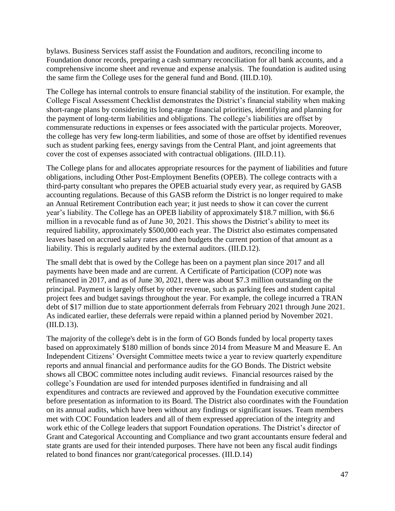bylaws. Business Services staff assist the Foundation and auditors, reconciling income to Foundation donor records, preparing a cash summary reconciliation for all bank accounts, and a comprehensive income sheet and revenue and expense analysis. The foundation is audited using the same firm the College uses for the general fund and Bond. ([III.D.10\)](https://III.D.10).

The College has internal controls to ensure financial stability of the institution. For example, the College Fiscal Assessment Checklist demonstrates the District's financial stability when making short-range plans by considering its long-range financial priorities, identifying and planning for the payment of long-term liabilities and obligations. The college's liabilities are offset by commensurate reductions in expenses or fees associated with the particular projects. Moreover, the college has very few long-term liabilities, and some of those are offset by identified revenues such as student parking fees, energy savings from the Central Plant, and joint agreements that cover the cost of expenses associated with contractual obligations. [\(III.D.11\)](https://III.D.11).

 third-party consultant who prepares the OPEB actuarial study every year, as required by GASB The College plans for and allocates appropriate resources for the payment of liabilities and future obligations, including Other Post-Employment Benefits (OPEB). The college contracts with a accounting regulations. Because of this GASB reform the District is no longer required to make an Annual Retirement Contribution each year; it just needs to show it can cover the current year's liability. The College has an OPEB liability of approximately \$18.7 million, with \$6.6 million in a revocable fund as of June 30, 2021. This shows the District's ability to meet its required liability, approximately \$500,000 each year. The District also estimates compensated leaves based on accrued salary rates and then budgets the current portion of that amount as a liability. This is regularly audited by the external auditors. [\(III.D.12\)](https://III.D.12).

The small debt that is owed by the College has been on a payment plan since 2017 and all payments have been made and are current. A Certificate of Participation (COP) note was refinanced in 2017, and as of June 30, 2021, there was about \$7.3 million outstanding on the principal. Payment is largely offset by other revenue, such as parking fees and student capital project fees and budget savings throughout the year. For example, the college incurred a TRAN debt of \$17 million due to state apportionment deferrals from February 2021 through June 2021. As indicated earlier, these deferrals were repaid within a planned period by November 2021. [\(III.D.13](https://III.D.13)).

The majority of the college's debt is in the form of GO Bonds funded by local property taxes based on approximately \$180 million of bonds since 2014 from Measure M and Measure E. An Independent Citizens' Oversight Committee meets twice a year to review quarterly expenditure reports and annual financial and performance audits for the GO Bonds. The District website shows all CBOC committee notes including audit reviews. Financial resources raised by the college's Foundation are used for intended purposes identified in fundraising and all expenditures and contracts are reviewed and approved by the Foundation executive committee before presentation as information to its Board. The District also coordinates with the Foundation on its annual audits, which have been without any findings or significant issues. Team members met with COC Foundation leaders and all of them expressed appreciation of the integrity and work ethic of the College leaders that support Foundation operations. The District's director of Grant and Categorical Accounting and Compliance and two grant accountants ensure federal and state grants are used for their intended purposes. There have not been any fiscal audit findings related to bond finances nor grant/categorical processes. ([III.D.14](https://III.D.14))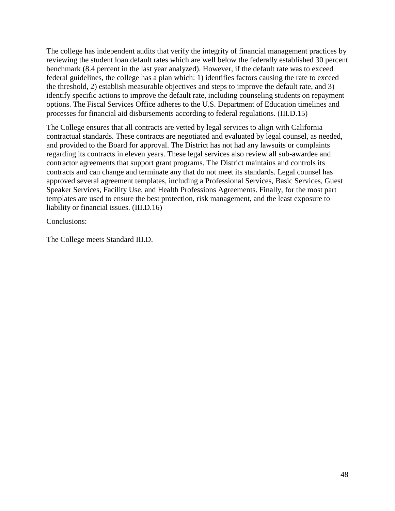The college has independent audits that verify the integrity of financial management practices by reviewing the student loan default rates which are well below the federally established 30 percent benchmark (8.4 percent in the last year analyzed). However, if the default rate was to exceed federal guidelines, the college has a plan which: 1) identifies factors causing the rate to exceed the threshold, 2) establish measurable objectives and steps to improve the default rate, and 3) identify specific actions to improve the default rate, including counseling students on repayment options. The Fiscal Services Office adheres to the U.S. Department of Education timelines and processes for financial aid disbursements according to federal regulations. ([III.D.15](https://III.D.15))

The College ensures that all contracts are vetted by legal services to align with California contractual standards. These contracts are negotiated and evaluated by legal counsel, as needed, and provided to the Board for approval. The District has not had any lawsuits or complaints regarding its contracts in eleven years. These legal services also review all sub-awardee and contractor agreements that support grant programs. The District maintains and controls its contracts and can change and terminate any that do not meet its standards. Legal counsel has approved several agreement templates, including a Professional Services, Basic Services, Guest Speaker Services, Facility Use, and Health Professions Agreements. Finally, for the most part templates are used to ensure the best protection, risk management, and the least exposure to liability or financial issues. ([III.D.16](https://III.D.16))

Conclusions:

The College meets Standard III.D.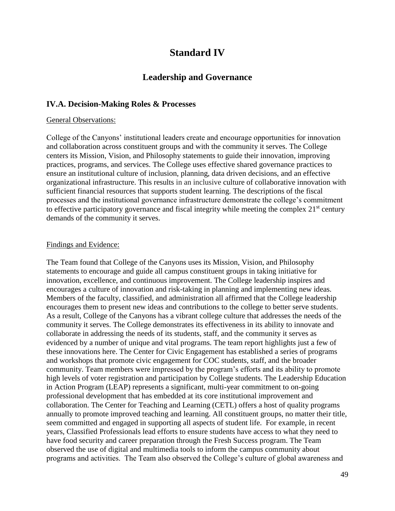# **Standard IV**

# **Leadership and Governance**

## <span id="page-48-1"></span><span id="page-48-0"></span>**IV.A. Decision-Making Roles & Processes**

#### General Observations:

College of the Canyons' institutional leaders create and encourage opportunities for innovation and collaboration across constituent groups and with the community it serves. The College centers its Mission, Vision, and Philosophy statements to guide their innovation, improving practices, programs, and services. The College uses effective shared governance practices to ensure an institutional culture of inclusion, planning, data driven decisions, and an effective organizational infrastructure. This results in an inclusive culture of collaborative innovation with sufficient financial resources that supports student learning. The descriptions of the fiscal processes and the institutional governance infrastructure demonstrate the college's commitment to effective participatory governance and fiscal integrity while meeting the complex  $21<sup>st</sup>$  century demands of the community it serves.

#### Findings and Evidence:

The Team found that College of the Canyons uses its Mission, Vision, and Philosophy statements to encourage and guide all campus constituent groups in taking initiative for innovation, excellence, and continuous improvement. The College leadership inspires and encourages a culture of innovation and risk-taking in planning and implementing new ideas. Members of the faculty, classified, and administration all affirmed that the College leadership encourages them to present new ideas and contributions to the college to better serve students. As a result, College of the Canyons has a vibrant college culture that addresses the needs of the community it serves. The College demonstrates its effectiveness in its ability to innovate and collaborate in addressing the needs of its students, staff, and the community it serves as evidenced by a number of unique and vital programs. The team report highlights just a few of these innovations here. The Center for Civic Engagement has established a series of programs and workshops that promote civic engagement for COC students, staff, and the broader community. Team members were impressed by the program's efforts and its ability to promote high levels of voter registration and participation by College students. The Leadership Education in Action Program (LEAP) represents a significant, multi-year commitment to on-going professional development that has embedded at its core institutional improvement and collaboration. The Center for Teaching and Learning (CETL) offers a host of quality programs annually to promote improved teaching and learning. All constituent groups, no matter their title, seem committed and engaged in supporting all aspects of student life. For example, in recent years, Classified Professionals lead efforts to ensure students have access to what they need to have food security and career preparation through the Fresh Success program. The Team observed the use of digital and multimedia tools to inform the campus community about programs and activities. The Team also observed the College's culture of global awareness and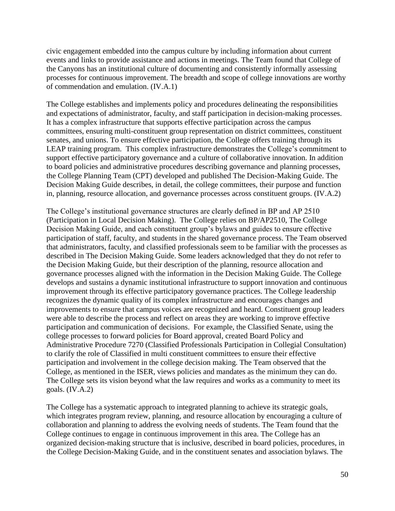the Canyons has an institutional culture of documenting and consistently informally assessing civic engagement embedded into the campus culture by including information about current events and links to provide assistance and actions in meetings. The Team found that College of processes for continuous improvement. The breadth and scope of college innovations are worthy of commendation and emulation. (IV.A.1)

 support effective participatory governance and a culture of collaborative innovation. In addition to board policies and administrative procedures describing governance and planning processes, Decision Making Guide describes, in detail, the college committees, their purpose and function The College establishes and implements policy and procedures delineating the responsibilities and expectations of administrator, faculty, and staff participation in decision-making processes. It has a complex infrastructure that supports effective participation across the campus committees, ensuring multi-constituent group representation on district committees, constituent senates, and unions. To ensure effective participation, the College offers training through its LEAP training program. This complex infrastructure demonstrates the College's commitment to the College Planning Team (CPT) developed and published The Decision-Making Guide. The in, planning, resource allocation, and governance processes across constituent groups. (IV.A.2)

The College's institutional governance structures are clearly defined in BP and AP 2510 (Participation in Local Decision Making). The College relies on BP/AP2510, The College Decision Making Guide, and each constituent group's bylaws and guides to ensure effective participation of staff, faculty, and students in the shared governance process. The Team observed that administrators, faculty, and classified professionals seem to be familiar with the processes as described in The Decision Making Guide. Some leaders acknowledged that they do not refer to the Decision Making Guide, but their description of the planning, resource allocation and governance processes aligned with the information in the Decision Making Guide. The College develops and sustains a dynamic institutional infrastructure to support innovation and continuous improvement through its effective participatory governance practices. The College leadership recognizes the dynamic quality of its complex infrastructure and encourages changes and improvements to ensure that campus voices are recognized and heard. Constituent group leaders were able to describe the process and reflect on areas they are working to improve effective participation and communication of decisions. For example, the Classified Senate, using the college processes to forward policies for Board approval, created Board Policy and Administrative Procedure 7270 (Classified Professionals Participation in Collegial Consultation) to clarify the role of Classified in multi constituent committees to ensure their effective participation and involvement in the college decision making. The Team observed that the College, as mentioned in the ISER, views policies and mandates as the minimum they can do. The College sets its vision beyond what the law requires and works as a community to meet its goals. (IV.A.2)

 which integrates program review, planning, and resource allocation by encouraging a culture of The College has a systematic approach to integrated planning to achieve its strategic goals, collaboration and planning to address the evolving needs of students. The Team found that the College continues to engage in continuous improvement in this area. The College has an organized decision-making structure that is inclusive, described in board policies, procedures, in the College Decision-Making Guide, and in the constituent senates and association bylaws. The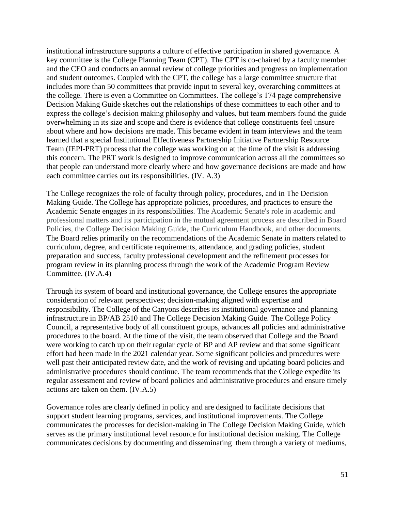institutional infrastructure supports a culture of effective participation in shared governance. A key committee is the College Planning Team (CPT). The CPT is co-chaired by a faculty member and the CEO and conducts an annual review of college priorities and progress on implementation and student outcomes. Coupled with the CPT, the college has a large committee structure that includes more than 50 committees that provide input to several key, overarching committees at the college. There is even a Committee on Committees. The college's 174 page comprehensive Decision Making Guide sketches out the relationships of these committees to each other and to express the college's decision making philosophy and values, but team members found the guide overwhelming in its size and scope and there is evidence that college constituents feel unsure about where and how decisions are made. This became evident in team interviews and the team learned that a special Institutional Effectiveness Partnership Initiative Partnership Resource Team (IEPI-PRT) process that the college was working on at the time of the visit is addressing this concern. The PRT work is designed to improve communication across all the committees so that people can understand more clearly where and how governance decisions are made and how each committee carries out its responsibilities. (IV. A.3)

 program review in its planning process through the work of the Academic Program Review The College recognizes the role of faculty through policy, procedures, and in The Decision Making Guide. The College has appropriate policies, procedures, and practices to ensure the Academic Senate engages in its responsibilities. The Academic Senate's role in academic and professional matters and its participation in the mutual agreement process are described in Board Policies, the College Decision Making Guide, the Curriculum Handbook, and other documents. The Board relies primarily on the recommendations of the Academic Senate in matters related to curriculum, degree, and certificate requirements, attendance, and grading policies, student preparation and success, faculty professional development and the refinement processes for Committee. (IV.A.4)

Through its system of board and institutional governance, the College ensures the appropriate consideration of relevant perspectives; decision-making aligned with expertise and responsibility. The College of the Canyons describes its institutional governance and planning infrastructure in BP/AB 2510 and The College Decision Making Guide. The College Policy Council, a representative body of all constituent groups, advances all policies and administrative procedures to the board. At the time of the visit, the team observed that College and the Board were working to catch up on their regular cycle of BP and AP review and that some significant effort had been made in the 2021 calendar year. Some significant policies and procedures were well past their anticipated review date, and the work of revising and updating board policies and administrative procedures should continue. The team recommends that the College expedite its regular assessment and review of board policies and administrative procedures and ensure timely actions are taken on them. (IV.A.5)

Governance roles are clearly defined in policy and are designed to facilitate decisions that support student learning programs, services, and institutional improvements. The College communicates the processes for decision-making in The College Decision Making Guide, which serves as the primary institutional level resource for institutional decision making. The College communicates decisions by documenting and disseminating them through a variety of mediums,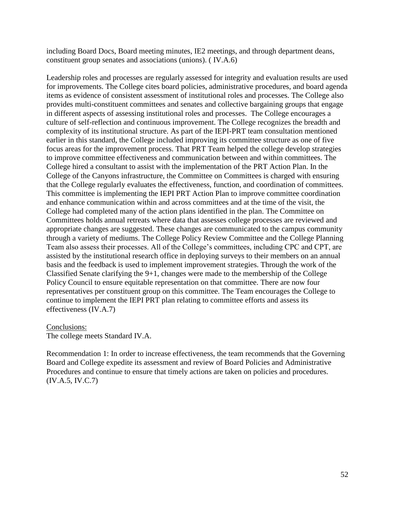including Board Docs, Board meeting minutes, IE2 meetings, and through department deans, constituent group senates and associations (unions). ( IV.A.6)

Leadership roles and processes are regularly assessed for integrity and evaluation results are used for improvements. The College cites board policies, administrative procedures, and board agenda items as evidence of consistent assessment of institutional roles and processes. The College also provides multi-constituent committees and senates and collective bargaining groups that engage in different aspects of assessing institutional roles and processes. The College encourages a culture of self-reflection and continuous improvement. The College recognizes the breadth and complexity of its institutional structure. As part of the IEPI-PRT team consultation mentioned earlier in this standard, the College included improving its committee structure as one of five focus areas for the improvement process. That PRT Team helped the college develop strategies to improve committee effectiveness and communication between and within committees. The College hired a consultant to assist with the implementation of the PRT Action Plan. In the College of the Canyons infrastructure, the Committee on Committees is charged with ensuring that the College regularly evaluates the effectiveness, function, and coordination of committees. This committee is implementing the IEPI PRT Action Plan to improve committee coordination and enhance communication within and across committees and at the time of the visit, the College had completed many of the action plans identified in the plan. The Committee on Committees holds annual retreats where data that assesses college processes are reviewed and appropriate changes are suggested. These changes are communicated to the campus community through a variety of mediums. The College Policy Review Committee and the College Planning Team also assess their processes. All of the College's committees, including CPC and CPT, are assisted by the institutional research office in deploying surveys to their members on an annual basis and the feedback is used to implement improvement strategies. Through the work of the Classified Senate clarifying the 9+1, changes were made to the membership of the College Policy Council to ensure equitable representation on that committee. There are now four representatives per constituent group on this committee. The Team encourages the College to continue to implement the IEPI PRT plan relating to committee efforts and assess its effectiveness (IV.A.7)

#### Conclusions:

The college meets Standard IV.A.

Recommendation 1: In order to increase effectiveness, the team recommends that the Governing Board and College expedite its assessment and review of Board Policies and Administrative Procedures and continue to ensure that timely actions are taken on policies and procedures. (IV.A.5, IV.C.7)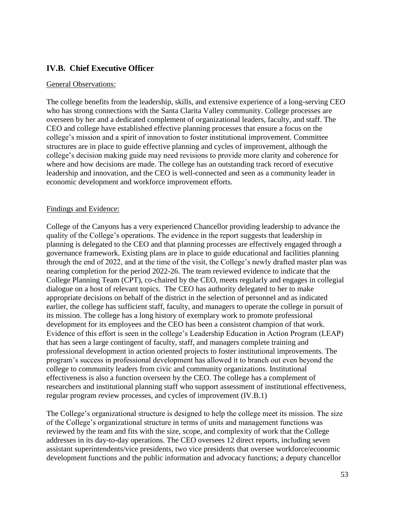## <span id="page-52-0"></span>**IV.B. Chief Executive Officer**

#### General Observations:

The college benefits from the leadership, skills, and extensive experience of a long-serving CEO who has strong connections with the Santa Clarita Valley community. College processes are overseen by her and a dedicated complement of organizational leaders, faculty, and staff. The CEO and college have established effective planning processes that ensure a focus on the college's mission and a spirit of innovation to foster institutional improvement. Committee structures are in place to guide effective planning and cycles of improvement, although the college's decision making guide may need revisions to provide more clarity and coherence for where and how decisions are made. The college has an outstanding track record of executive leadership and innovation, and the CEO is well-connected and seen as a community leader in economic development and workforce improvement efforts.

#### Findings and Evidence:

 planning is delegated to the CEO and that planning processes are effectively engaged through a College of the Canyons has a very experienced Chancellor providing leadership to advance the quality of the College's operations. The evidence in the report suggests that leadership in governance framework. Existing plans are in place to guide educational and facilities planning through the end of 2022, and at the time of the visit, the College's newly drafted master plan was nearing completion for the period 2022-26. The team reviewed evidence to indicate that the College Planning Team (CPT), co-chaired by the CEO, meets regularly and engages in collegial dialogue on a host of relevant topics. The CEO has authority delegated to her to make appropriate decisions on behalf of the district in the selection of personnel and as indicated earlier, the college has sufficient staff, faculty, and managers to operate the college in pursuit of its mission. The college has a long history of exemplary work to promote professional development for its employees and the CEO has been a consistent champion of that work. Evidence of this effort is seen in the college's Leadership Education in Action Program (LEAP) that has seen a large contingent of faculty, staff, and managers complete training and professional development in action oriented projects to foster institutional improvements. The program's success in professional development has allowed it to branch out even beyond the college to community leaders from civic and community organizations. Institutional effectiveness is also a function overseen by the CEO. The college has a complement of researchers and institutional planning staff who support assessment of institutional effectiveness, regular program review processes, and cycles of improvement (IV.B.1)

The College's organizational structure is designed to help the college meet its mission. The size of the College's organizational structure in terms of units and management functions was reviewed by the team and fits with the size, scope, and complexity of work that the College addresses in its day-to-day operations. The CEO oversees 12 direct reports, including seven assistant superintendents/vice presidents, two vice presidents that oversee workforce/economic development functions and the public information and advocacy functions; a deputy chancellor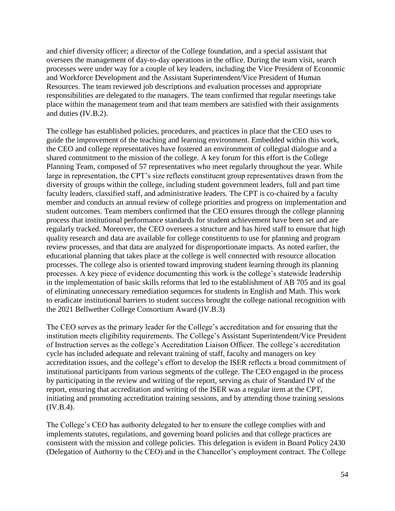and chief diversity officer; a director of the College foundation, and a special assistant that oversees the management of day-to-day operations in the office. During the team visit, search processes were under way for a couple of key leaders, including the Vice President of Economic and Workforce Development and the Assistant Superintendent/Vice President of Human Resources. The team reviewed job descriptions and evaluation processes and appropriate responsibilities are delegated to the managers. The team confirmed that regular meetings take place within the management team and that team members are satisfied with their assignments and duties (IV.B.2).

 the CEO and college representatives have fostered an environment of collegial dialogue and a Planning Team, composed of 57 representatives who meet regularly throughout the year. While faculty leaders, classified staff, and administrative leaders. The CPT is co-chaired by a faculty The college has established policies, procedures, and practices in place that the CEO uses to guide the improvement of the teaching and learning environment. Embedded within this work, shared commitment to the mission of the college. A key forum for this effort is the College large in representation, the CPT's size reflects constituent group representatives drawn from the diversity of groups within the college, including student government leaders, full and part time member and conducts an annual review of college priorities and progress on implementation and student outcomes. Team members confirmed that the CEO ensures through the college planning process that institutional performance standards for student achievement have been set and are regularly tracked. Moreover, the CEO oversees a structure and has hired staff to ensure that high quality research and data are available for college constituents to use for planning and program review processes, and that data are analyzed for disproportionate impacts. As noted earlier, the educational planning that takes place at the college is well connected with resource allocation processes. The college also is oriented toward improving student learning through its planning processes. A key piece of evidence documenting this work is the college's statewide leadership in the implementation of basic skills reforms that led to the establishment of AB 705 and its goal of eliminating unnecessary remediation sequences for students in English and Math. This work to eradicate institutional barriers to student success brought the college national recognition with the 2021 Bellwether College Consortium Award (IV.B.3)

The CEO serves as the primary leader for the College's accreditation and for ensuring that the institution meets eligibility requirements. The College's Assistant Superintendent/Vice President of Instruction serves as the college's Accreditation Liaison Officer. The college's accreditation cycle has included adequate and relevant training of staff, faculty and managers on key accreditation issues, and the college's effort to develop the ISER reflects a broad commitment of institutional participants from various segments of the college. The CEO engaged in the process by participating in the review and writing of the report, serving as chair of Standard IV of the report, ensuring that accreditation and writing of the ISER was a regular item at the CPT, initiating and promoting accreditation training sessions, and by attending those training sessions (IV.B.4).

The College's CEO has authority delegated to her to ensure the college complies with and implements statutes, regulations, and governing board policies and that college practices are consistent with the mission and college policies. This delegation is evident in Board Policy 2430 (Delegation of Authority to the CEO) and in the Chancellor's employment contract. The College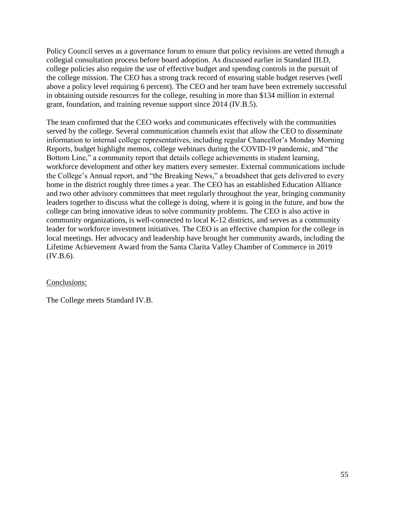Policy Council serves as a governance forum to ensure that policy revisions are vetted through a collegial consultation process before board adoption. As discussed earlier in Standard III.D, college policies also require the use of effective budget and spending controls in the pursuit of the college mission. The CEO has a strong track record of ensuring stable budget reserves (well above a policy level requiring 6 percent). The CEO and her team have been extremely successful in obtaining outside resources for the college, resulting in more than \$134 million in external grant, foundation, and training revenue support since 2014 (IV.B.5).

The team confirmed that the CEO works and communicates effectively with the communities served by the college. Several communication channels exist that allow the CEO to disseminate information to internal college representatives, including regular Chancellor's Monday Morning Reports, budget highlight memos, college webinars during the COVID-19 pandemic, and "the Bottom Line," a community report that details college achievements in student learning, workforce development and other key matters every semester. External communications include the College's Annual report, and "the Breaking News," a broadsheet that gets delivered to every home in the district roughly three times a year. The CEO has an established Education Alliance and two other advisory committees that meet regularly throughout the year, bringing community leaders together to discuss what the college is doing, where it is going in the future, and how the college can bring innovative ideas to solve community problems. The CEO is also active in community organizations, is well-connected to local K-12 districts, and serves as a community leader for workforce investment initiatives. The CEO is an effective champion for the college in local meetings. Her advocacy and leadership have brought her community awards, including the Lifetime Achievement Award from the Santa Clarita Valley Chamber of Commerce in 2019 (IV.B.6).

## Conclusions:

The College meets Standard IV.B.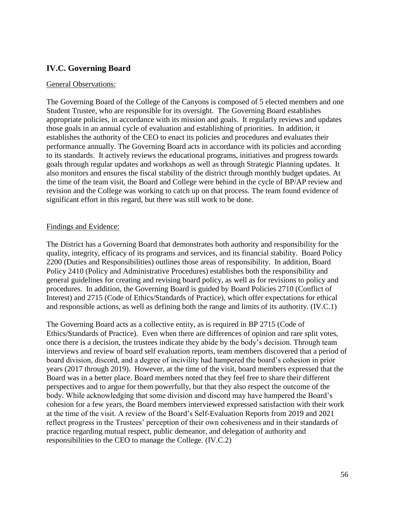## <span id="page-55-0"></span>**IV.C. Governing Board**

#### General Observations:

 The Governing Board of the College of the Canyons is composed of 5 elected members and one Student Trustee, who are responsible for its oversight. The Governing Board establishes appropriate policies, in accordance with its mission and goals. It regularly reviews and updates those goals in an annual cycle of evaluation and establishing of priorities. In addition, it establishes the authority of the CEO to enact its policies and procedures and evaluates their performance annually. The Governing Board acts in accordance with its policies and according to its standards. It actively reviews the educational programs, initiatives and progress towards goals through regular updates and workshops as well as through Strategic Planning updates. It also monitors and ensures the fiscal stability of the district through monthly budget updates. At the time of the team visit, the Board and College were behind in the cycle of BP/AP review and revision and the College was working to catch up on that process. The team found evidence of significant effort in this regard, but there was still work to be done.

#### Findings and Evidence:

The District has a Governing Board that demonstrates both authority and responsibility for the quality, integrity, efficacy of its programs and services, and its financial stability. Board Policy 2200 (Duties and Responsibilities) outlines those areas of responsibility. In addition, Board Policy 2410 (Policy and Administrative Procedures) establishes both the responsibility and general guidelines for creating and revising board policy, as well as for revisions to policy and procedures. In addition, the Governing Board is guided by Board Policies 2710 (Conflict of Interest) and 2715 (Code of Ethics/Standards of Practice), which offer expectations for ethical and responsible actions, as well as defining both the range and limits of its authority. (IV.C.1)

The Governing Board acts as a collective entity, as is required in BP 2715 (Code of Ethics/Standards of Practice). Even when there are differences of opinion and rare split votes, once there is a decision, the trustees indicate they abide by the body's decision. Through team interviews and review of board self evaluation reports, team members discovered that a period of board division, discord, and a degree of incivility had hampered the board's cohesion in prior years (2017 through 2019). However, at the time of the visit, board members expressed that the Board was in a better place. Board members noted that they feel free to share their different perspectives and to argue for them powerfully, but that they also respect the outcome of the body. While acknowledging that some division and discord may have hampered the Board's cohesion for a few years, the Board members interviewed expressed satisfaction with their work at the time of the visit. A review of the Board's Self-Evaluation Reports from 2019 and 2021 reflect progress in the Trustees' perception of their own cohesiveness and in their standards of practice regarding mutual respect, public demeanor, and delegation of authority and responsibilities to the CEO to manage the College. (IV.C.2)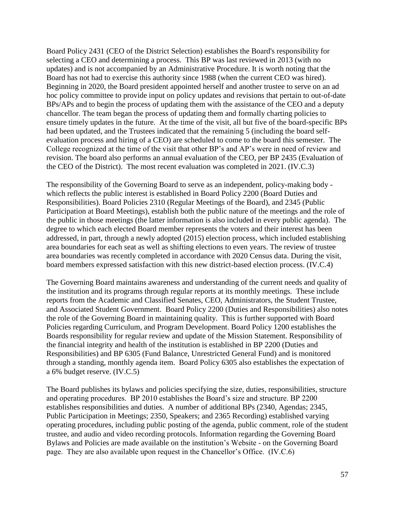Board Policy 2431 (CEO of the District Selection) establishes the Board's responsibility for selecting a CEO and determining a process. This BP was last reviewed in 2013 (with no updates) and is not accompanied by an Administrative Procedure. It is worth noting that the Board has not had to exercise this authority since 1988 (when the current CEO was hired). Beginning in 2020, the Board president appointed herself and another trustee to serve on an ad hoc policy committee to provide input on policy updates and revisions that pertain to out-of-date BPs/APs and to begin the process of updating them with the assistance of the CEO and a deputy chancellor. The team began the process of updating them and formally charting policies to ensure timely updates in the future. At the time of the visit, all but five of the board-specific BPs had been updated, and the Trustees indicated that the remaining 5 (including the board selfevaluation process and hiring of a CEO) are scheduled to come to the board this semester. The College recognized at the time of the visit that other BP's and AP's were in need of review and revision. The board also performs an annual evaluation of the CEO, per BP 2435 (Evaluation of the CEO of the District). The most recent evaluation was completed in 2021. (IV.C.3)

The responsibility of the Governing Board to serve as an independent, policy-making body which reflects the public interest is established in Board Policy 2200 (Board Duties and Responsibilities). Board Policies 2310 (Regular Meetings of the Board), and 2345 (Public Participation at Board Meetings), establish both the public nature of the meetings and the role of the public in those meetings (the latter information is also included in every public agenda). The degree to which each elected Board member represents the voters and their interest has been addressed, in part, through a newly adopted (2015) election process, which included establishing area boundaries for each seat as well as shifting elections to even years. The review of trustee area boundaries was recently completed in accordance with 2020 Census data. During the visit, board members expressed satisfaction with this new district-based election process. (IV.C.4)

The Governing Board maintains awareness and understanding of the current needs and quality of the institution and its programs through regular reports at its monthly meetings. These include reports from the Academic and Classified Senates, CEO, Administrators, the Student Trustee, and Associated Student Government. Board Policy 2200 (Duties and Responsibilities) also notes the role of the Governing Board in maintaining quality. This is further supported with Board Policies regarding Curriculum, and Program Development. Board Policy 1200 establishes the Boards responsibility for regular review and update of the Mission Statement. Responsibility of the financial integrity and health of the institution is established in BP 2200 (Duties and Responsibilities) and BP 6305 (Fund Balance, Unrestricted General Fund) and is monitored through a standing, monthly agenda item. Board Policy 6305 also establishes the expectation of a 6% budget reserve. (IV.C.5)

 page. They are also available upon request in the Chancellor's Office. (IV.C.6) The Board publishes its bylaws and policies specifying the size, duties, responsibilities, structure and operating procedures. BP 2010 establishes the Board's size and structure. BP 2200 establishes responsibilities and duties. A number of additional BPs (2340, Agendas; 2345, Public Participation in Meetings; 2350, Speakers; and 2365 Recording) established varying operating procedures, including public posting of the agenda, public comment, role of the student trustee, and audio and video recording protocols. Information regarding the Governing Board Bylaws and Policies are made available on the institution's Website - on the Governing Board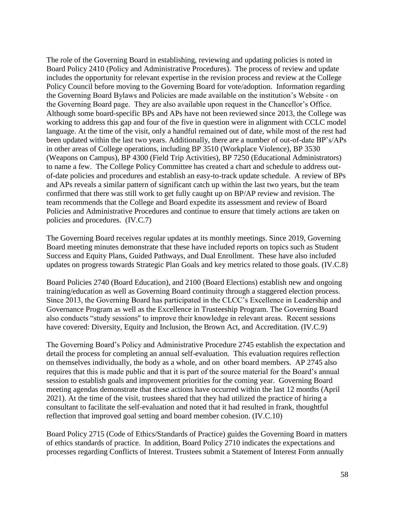The role of the Governing Board in establishing, reviewing and updating policies is noted in in other areas of College operations, including BP 3510 (Workplace Violence), BP 3530 Board Policy 2410 (Policy and Administrative Procedures). The process of review and update includes the opportunity for relevant expertise in the revision process and review at the College Policy Council before moving to the Governing Board for vote/adoption. Information regarding the Governing Board Bylaws and Policies are made available on the institution's Website - on the Governing Board page. They are also available upon request in the Chancellor's Office. Although some board-specific BPs and APs have not been reviewed since 2013, the College was working to address this gap and four of the five in question were in alignment with CCLC model language. At the time of the visit, only a handful remained out of date, while most of the rest had been updated within the last two years. Additionally, there are a number of out-of-date BP's/APs (Weapons on Campus), BP 4300 (Field Trip Activities), BP 7250 (Educational Administrators) to name a few. The College Policy Committee has created a chart and schedule to address outof-date policies and procedures and establish an easy-to-track update schedule. A review of BPs and APs reveals a similar pattern of significant catch up within the last two years, but the team confirmed that there was still work to get fully caught up on BP/AP review and revision. The team recommends that the College and Board expedite its assessment and review of Board Policies and Administrative Procedures and continue to ensure that timely actions are taken on policies and procedures. (IV.C.7)

The Governing Board receives regular updates at its monthly meetings. Since 2019, Governing Board meeting minutes demonstrate that these have included reports on topics such as Student Success and Equity Plans, Guided Pathways, and Dual Enrollment. These have also included updates on progress towards Strategic Plan Goals and key metrics related to those goals. (IV.C.8)

Board Policies 2740 (Board Education), and 2100 (Board Elections) establish new and ongoing training/education as well as Governing Board continuity through a staggered election process. Since 2013, the Governing Board has participated in the CLCC's Excellence in Leadership and Governance Program as well as the Excellence in Trusteeship Program. The Governing Board also conducts "study sessions'' to improve their knowledge in relevant areas. Recent sessions have covered: Diversity, Equity and Inclusion, the Brown Act, and Accreditation. (IV.C.9)

The Governing Board's Policy and Administrative Procedure 2745 establish the expectation and detail the process for completing an annual self-evaluation. This evaluation requires reflection on themselves individually, the body as a whole, and on other board members. AP 2745 also requires that this is made public and that it is part of the source material for the Board's annual session to establish goals and improvement priorities for the coming year. Governing Board meeting agendas demonstrate that these actions have occurred within the last 12 months (April 2021). At the time of the visit, trustees shared that they had utilized the practice of hiring a consultant to facilitate the self-evaluation and noted that it had resulted in frank, thoughtful reflection that improved goal setting and board member cohesion. (IV.C.10)

Board Policy 2715 (Code of Ethics/Standards of Practice) guides the Governing Board in matters of ethics standards of practice. In addition, Board Policy 2710 indicates the expectations and processes regarding Conflicts of Interest. Trustees submit a Statement of Interest Form annually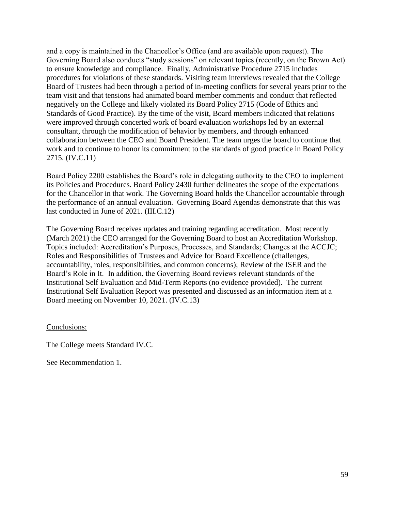and a copy is maintained in the Chancellor's Office (and are available upon request). The Governing Board also conducts "study sessions" on relevant topics (recently, on the Brown Act) to ensure knowledge and compliance. Finally, Administrative Procedure 2715 includes procedures for violations of these standards. Visiting team interviews revealed that the College Board of Trustees had been through a period of in-meeting conflicts for several years prior to the team visit and that tensions had animated board member comments and conduct that reflected negatively on the College and likely violated its Board Policy 2715 (Code of Ethics and Standards of Good Practice). By the time of the visit, Board members indicated that relations were improved through concerted work of board evaluation workshops led by an external consultant, through the modification of behavior by members, and through enhanced collaboration between the CEO and Board President. The team urges the board to continue that work and to continue to honor its commitment to the standards of good practice in Board Policy 2715. (IV.C.11)

Board Policy 2200 establishes the Board's role in delegating authority to the CEO to implement its Policies and Procedures. Board Policy 2430 further delineates the scope of the expectations for the Chancellor in that work. The Governing Board holds the Chancellor accountable through the performance of an annual evaluation. Governing Board Agendas demonstrate that this was last conducted in June of 2021. [\(III.C.12](https://III.C.12))

The Governing Board receives updates and training regarding accreditation. Most recently (March 2021) the CEO arranged for the Governing Board to host an Accreditation Workshop. Topics included: Accreditation's Purposes, Processes, and Standards; Changes at the ACCJC; Roles and Responsibilities of Trustees and Advice for Board Excellence (challenges, accountability, roles, responsibilities, and common concerns); Review of the ISER and the Board's Role in It. In addition, the Governing Board reviews relevant standards of the Institutional Self Evaluation and Mid-Term Reports (no evidence provided). The current Institutional Self Evaluation Report was presented and discussed as an information item at a Board meeting on November 10, 2021. (IV.C.13)

Conclusions:

The College meets Standard IV.C.

See Recommendation 1.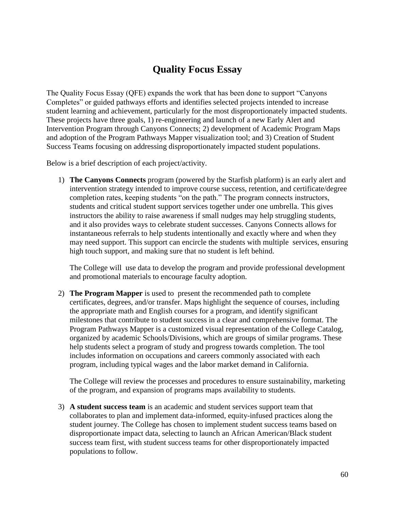# **Quality Focus Essay**

<span id="page-59-0"></span>The Quality Focus Essay (QFE) expands the work that has been done to support "Canyons Completes" or guided pathways efforts and identifies selected projects intended to increase student learning and achievement, particularly for the most disproportionately impacted students. These projects have three goals, 1) re-engineering and launch of a new Early Alert and Intervention Program through Canyons Connects; 2) development of Academic Program Maps and adoption of the Program Pathways Mapper visualization tool; and 3) Creation of Student Success Teams focusing on addressing disproportionately impacted student populations.

Below is a brief description of each project/activity.

1) **The Canyons Connects** program (powered by the Starfish platform) is an early alert and intervention strategy intended to improve course success, retention, and certificate/degree completion rates, keeping students "on the path." The program connects instructors, students and critical student support services together under one umbrella. This gives instructors the ability to raise awareness if small nudges may help struggling students, and it also provides ways to celebrate student successes. Canyons Connects allows for instantaneous referrals to help students intentionally and exactly where and when they may need support. This support can encircle the students with multiple services, ensuring high touch support, and making sure that no student is left behind.

The College will use data to develop the program and provide professional development and promotional materials to encourage faculty adoption.

2) **The Program Mapper** is used to present the recommended path to complete certificates, degrees, and/or transfer. Maps highlight the sequence of courses, including the appropriate math and English courses for a program, and identify significant milestones that contribute to student success in a clear and comprehensive format. The Program Pathways Mapper is a customized visual representation of the College Catalog, organized by academic Schools/Divisions, which are groups of similar programs. These help students select a program of study and progress towards completion. The tool includes information on occupations and careers commonly associated with each program, including typical wages and the labor market demand in California.

The College will review the processes and procedures to ensure sustainability, marketing of the program, and expansion of programs maps availability to students.

3) **A student success team** is an academic and student services support team that collaborates to plan and implement data-informed, equity-infused practices along the student journey. The College has chosen to implement student success teams based on disproportionate impact data, selecting to launch an African American/Black student success team first, with student success teams for other disproportionately impacted populations to follow.